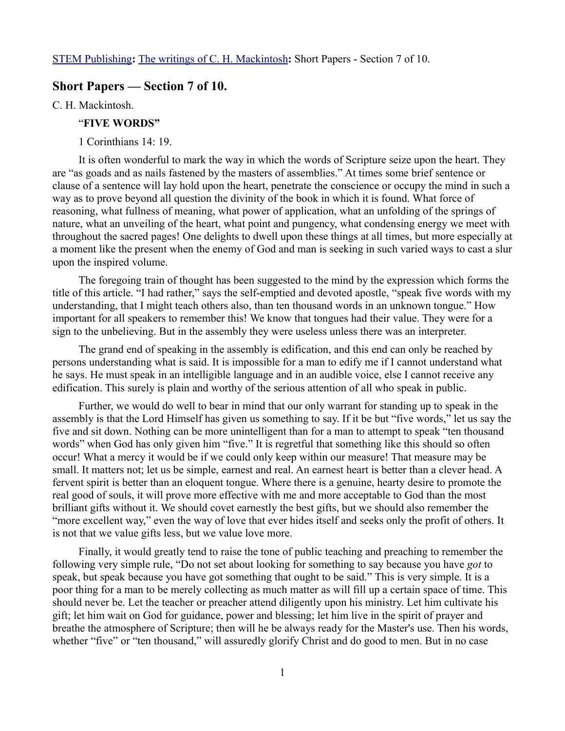## **Short Papers — Section 7 of 10.**

C. H. Mackintosh.

### "**FIVE WORDS"**

1 Corinthians 14: 19.

It is often wonderful to mark the way in which the words of Scripture seize upon the heart. They are "as goads and as nails fastened by the masters of assemblies." At times some brief sentence or clause of a sentence will lay hold upon the heart, penetrate the conscience or occupy the mind in such a way as to prove beyond all question the divinity of the book in which it is found. What force of reasoning, what fullness of meaning, what power of application, what an unfolding of the springs of nature, what an unveiling of the heart, what point and pungency, what condensing energy we meet with throughout the sacred pages! One delights to dwell upon these things at all times, but more especially at a moment like the present when the enemy of God and man is seeking in such varied ways to cast a slur upon the inspired volume.

The foregoing train of thought has been suggested to the mind by the expression which forms the title of this article. "I had rather," says the self-emptied and devoted apostle, "speak five words with my understanding, that I might teach others also, than ten thousand words in an unknown tongue." How important for all speakers to remember this! We know that tongues had their value. They were for a sign to the unbelieving. But in the assembly they were useless unless there was an interpreter.

The grand end of speaking in the assembly is edification, and this end can only be reached by persons understanding what is said. It is impossible for a man to edify me if I cannot understand what he says. He must speak in an intelligible language and in an audible voice, else I cannot receive any edification. This surely is plain and worthy of the serious attention of all who speak in public.

Further, we would do well to bear in mind that our only warrant for standing up to speak in the assembly is that the Lord Himself has given us something to say. If it be but "five words," let us say the five and sit down. Nothing can be more unintelligent than for a man to attempt to speak "ten thousand words" when God has only given him "five." It is regretful that something like this should so often occur! What a mercy it would be if we could only keep within our measure! That measure may be small. It matters not; let us be simple, earnest and real. An earnest heart is better than a clever head. A fervent spirit is better than an eloquent tongue. Where there is a genuine, hearty desire to promote the real good of souls, it will prove more effective with me and more acceptable to God than the most brilliant gifts without it. We should covet earnestly the best gifts, but we should also remember the "more excellent way," even the way of love that ever hides itself and seeks only the profit of others. It is not that we value gifts less, but we value love more.

Finally, it would greatly tend to raise the tone of public teaching and preaching to remember the following very simple rule, "Do not set about looking for something to say because you have *got* to speak, but speak because you have got something that ought to be said." This is very simple. It is a poor thing for a man to be merely collecting as much matter as will fill up a certain space of time. This should never be. Let the teacher or preacher attend diligently upon his ministry. Let him cultivate his gift; let him wait on God for guidance, power and blessing; let him live in the spirit of prayer and breathe the atmosphere of Scripture; then will he be always ready for the Master's use. Then his words, whether "five" or "ten thousand," will assuredly glorify Christ and do good to men. But in no case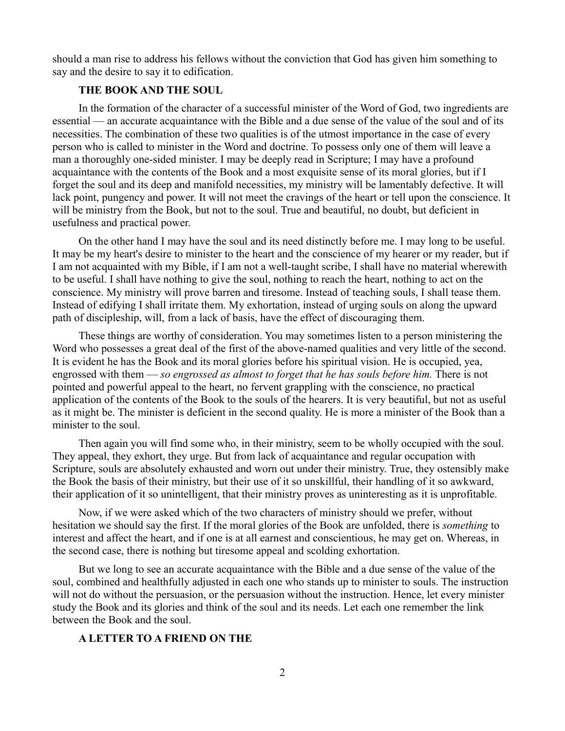should a man rise to address his fellows without the conviction that God has given him something to say and the desire to say it to edification.

## **THE BOOK AND THE SOUL**

In the formation of the character of a successful minister of the Word of God, two ingredients are essential — an accurate acquaintance with the Bible and a due sense of the value of the soul and of its necessities. The combination of these two qualities is of the utmost importance in the case of every person who is called to minister in the Word and doctrine. To possess only one of them will leave a man a thoroughly one-sided minister. I may be deeply read in Scripture; I may have a profound acquaintance with the contents of the Book and a most exquisite sense of its moral glories, but if I forget the soul and its deep and manifold necessities, my ministry will be lamentably defective. It will lack point, pungency and power. It will not meet the cravings of the heart or tell upon the conscience. It will be ministry from the Book, but not to the soul. True and beautiful, no doubt, but deficient in usefulness and practical power.

On the other hand I may have the soul and its need distinctly before me. I may long to be useful. It may be my heart's desire to minister to the heart and the conscience of my hearer or my reader, but if I am not acquainted with my Bible, if I am not a well-taught scribe, I shall have no material wherewith to be useful. I shall have nothing to give the soul, nothing to reach the heart, nothing to act on the conscience. My ministry will prove barren and tiresome. Instead of teaching souls, I shall tease them. Instead of edifying I shall irritate them. My exhortation, instead of urging souls on along the upward path of discipleship, will, from a lack of basis, have the effect of discouraging them.

These things are worthy of consideration. You may sometimes listen to a person ministering the Word who possesses a great deal of the first of the above-named qualities and very little of the second. It is evident he has the Book and its moral glories before his spiritual vision. He is occupied, yea, engrossed with them — *so engrossed as almost to forget that he has souls before him.* There is not pointed and powerful appeal to the heart, no fervent grappling with the conscience, no practical application of the contents of the Book to the souls of the hearers. It is very beautiful, but not as useful as it might be. The minister is deficient in the second quality. He is more a minister of the Book than a minister to the soul.

Then again you will find some who, in their ministry, seem to be wholly occupied with the soul. They appeal, they exhort, they urge. But from lack of acquaintance and regular occupation with Scripture, souls are absolutely exhausted and worn out under their ministry. True, they ostensibly make the Book the basis of their ministry, but their use of it so unskillful, their handling of it so awkward, their application of it so unintelligent, that their ministry proves as uninteresting as it is unprofitable.

Now, if we were asked which of the two characters of ministry should we prefer, without hesitation we should say the first. If the moral glories of the Book are unfolded, there is *something* to interest and affect the heart, and if one is at all earnest and conscientious, he may get on. Whereas, in the second case, there is nothing but tiresome appeal and scolding exhortation.

But we long to see an accurate acquaintance with the Bible and a due sense of the value of the soul, combined and healthfully adjusted in each one who stands up to minister to souls. The instruction will not do without the persuasion, or the persuasion without the instruction. Hence, let every minister study the Book and its glories and think of the soul and its needs. Let each one remember the link between the Book and the soul.

#### **A LETTER TO A FRIEND ON THE**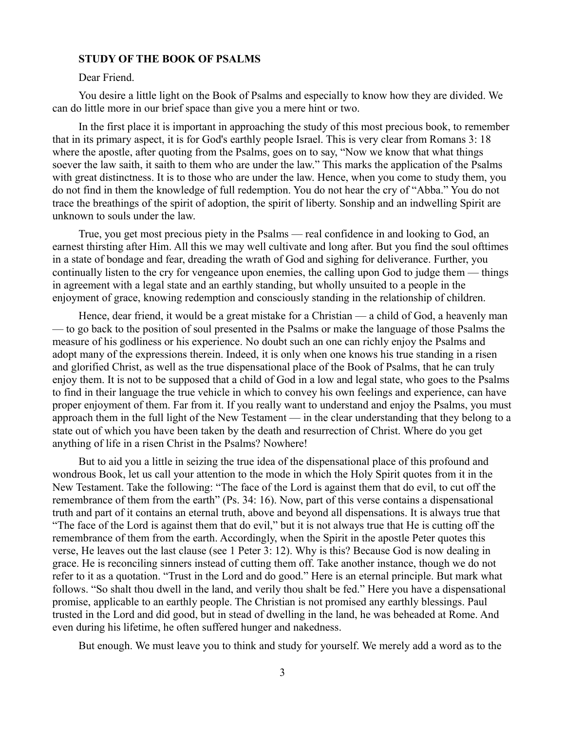#### **STUDY OF THE BOOK OF PSALMS**

#### Dear Friend.

You desire a little light on the Book of Psalms and especially to know how they are divided. We can do little more in our brief space than give you a mere hint or two.

In the first place it is important in approaching the study of this most precious book, to remember that in its primary aspect, it is for God's earthly people Israel. This is very clear from Romans 3: 18 where the apostle, after quoting from the Psalms, goes on to say, "Now we know that what things soever the law saith, it saith to them who are under the law." This marks the application of the Psalms with great distinctness. It is to those who are under the law. Hence, when you come to study them, you do not find in them the knowledge of full redemption. You do not hear the cry of "Abba." You do not trace the breathings of the spirit of adoption, the spirit of liberty. Sonship and an indwelling Spirit are unknown to souls under the law.

True, you get most precious piety in the Psalms — real confidence in and looking to God, an earnest thirsting after Him. All this we may well cultivate and long after. But you find the soul ofttimes in a state of bondage and fear, dreading the wrath of God and sighing for deliverance. Further, you continually listen to the cry for vengeance upon enemies, the calling upon God to judge them — things in agreement with a legal state and an earthly standing, but wholly unsuited to a people in the enjoyment of grace, knowing redemption and consciously standing in the relationship of children.

Hence, dear friend, it would be a great mistake for a Christian — a child of God, a heavenly man — to go back to the position of soul presented in the Psalms or make the language of those Psalms the measure of his godliness or his experience. No doubt such an one can richly enjoy the Psalms and adopt many of the expressions therein. Indeed, it is only when one knows his true standing in a risen and glorified Christ, as well as the true dispensational place of the Book of Psalms, that he can truly enjoy them. It is not to be supposed that a child of God in a low and legal state, who goes to the Psalms to find in their language the true vehicle in which to convey his own feelings and experience, can have proper enjoyment of them. Far from it. If you really want to understand and enjoy the Psalms, you must approach them in the full light of the New Testament — in the clear understanding that they belong to a state out of which you have been taken by the death and resurrection of Christ. Where do you get anything of life in a risen Christ in the Psalms? Nowhere!

But to aid you a little in seizing the true idea of the dispensational place of this profound and wondrous Book, let us call your attention to the mode in which the Holy Spirit quotes from it in the New Testament. Take the following: "The face of the Lord is against them that do evil, to cut off the remembrance of them from the earth" (Ps. 34: 16). Now, part of this verse contains a dispensational truth and part of it contains an eternal truth, above and beyond all dispensations. It is always true that "The face of the Lord is against them that do evil," but it is not always true that He is cutting off the remembrance of them from the earth. Accordingly, when the Spirit in the apostle Peter quotes this verse, He leaves out the last clause (see 1 Peter 3: 12). Why is this? Because God is now dealing in grace. He is reconciling sinners instead of cutting them off. Take another instance, though we do not refer to it as a quotation. "Trust in the Lord and do good." Here is an eternal principle. But mark what follows. "So shalt thou dwell in the land, and verily thou shalt be fed." Here you have a dispensational promise, applicable to an earthly people. The Christian is not promised any earthly blessings. Paul trusted in the Lord and did good, but in stead of dwelling in the land, he was beheaded at Rome. And even during his lifetime, he often suffered hunger and nakedness.

But enough. We must leave you to think and study for yourself. We merely add a word as to the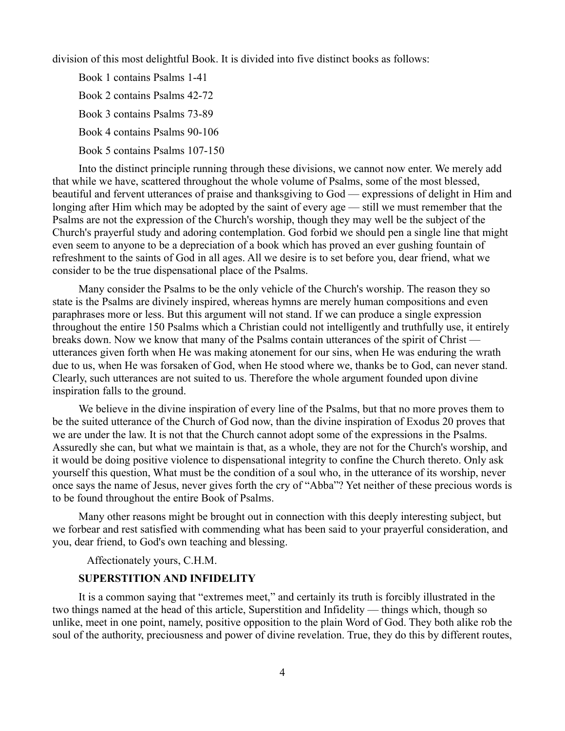division of this most delightful Book. It is divided into five distinct books as follows:

Book 1 contains Psalms 1-41 Book 2 contains Psalms 42-72 Book 3 contains Psalms 73-89 Book 4 contains Psalms 90-106 Book 5 contains Psalms 107-150

Into the distinct principle running through these divisions, we cannot now enter. We merely add that while we have, scattered throughout the whole volume of Psalms, some of the most blessed, beautiful and fervent utterances of praise and thanksgiving to God — expressions of delight in Him and longing after Him which may be adopted by the saint of every age — still we must remember that the Psalms are not the expression of the Church's worship, though they may well be the subject of the Church's prayerful study and adoring contemplation. God forbid we should pen a single line that might even seem to anyone to be a depreciation of a book which has proved an ever gushing fountain of refreshment to the saints of God in all ages. All we desire is to set before you, dear friend, what we consider to be the true dispensational place of the Psalms.

Many consider the Psalms to be the only vehicle of the Church's worship. The reason they so state is the Psalms are divinely inspired, whereas hymns are merely human compositions and even paraphrases more or less. But this argument will not stand. If we can produce a single expression throughout the entire 150 Psalms which a Christian could not intelligently and truthfully use, it entirely breaks down. Now we know that many of the Psalms contain utterances of the spirit of Christ utterances given forth when He was making atonement for our sins, when He was enduring the wrath due to us, when He was forsaken of God, when He stood where we, thanks be to God, can never stand. Clearly, such utterances are not suited to us. Therefore the whole argument founded upon divine inspiration falls to the ground.

We believe in the divine inspiration of every line of the Psalms, but that no more proves them to be the suited utterance of the Church of God now, than the divine inspiration of Exodus 20 proves that we are under the law. It is not that the Church cannot adopt some of the expressions in the Psalms. Assuredly she can, but what we maintain is that, as a whole, they are not for the Church's worship, and it would be doing positive violence to dispensational integrity to confine the Church thereto. Only ask yourself this question, What must be the condition of a soul who, in the utterance of its worship, never once says the name of Jesus, never gives forth the cry of "Abba"? Yet neither of these precious words is to be found throughout the entire Book of Psalms.

Many other reasons might be brought out in connection with this deeply interesting subject, but we forbear and rest satisfied with commending what has been said to your prayerful consideration, and you, dear friend, to God's own teaching and blessing.

Affectionately yours, C.H.M.

# **SUPERSTITION AND INFIDELITY**

It is a common saying that "extremes meet," and certainly its truth is forcibly illustrated in the two things named at the head of this article, Superstition and Infidelity — things which, though so unlike, meet in one point, namely, positive opposition to the plain Word of God. They both alike rob the soul of the authority, preciousness and power of divine revelation. True, they do this by different routes,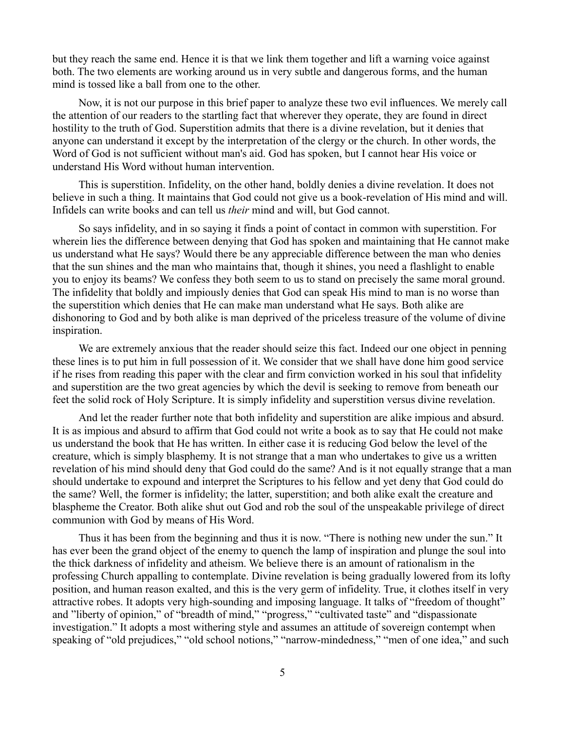but they reach the same end. Hence it is that we link them together and lift a warning voice against both. The two elements are working around us in very subtle and dangerous forms, and the human mind is tossed like a ball from one to the other.

Now, it is not our purpose in this brief paper to analyze these two evil influences. We merely call the attention of our readers to the startling fact that wherever they operate, they are found in direct hostility to the truth of God. Superstition admits that there is a divine revelation, but it denies that anyone can understand it except by the interpretation of the clergy or the church. In other words, the Word of God is not sufficient without man's aid. God has spoken, but I cannot hear His voice or understand His Word without human intervention.

This is superstition. Infidelity, on the other hand, boldly denies a divine revelation. It does not believe in such a thing. It maintains that God could not give us a book-revelation of His mind and will. Infidels can write books and can tell us *their* mind and will, but God cannot.

So says infidelity, and in so saying it finds a point of contact in common with superstition. For wherein lies the difference between denying that God has spoken and maintaining that He cannot make us understand what He says? Would there be any appreciable difference between the man who denies that the sun shines and the man who maintains that, though it shines, you need a flashlight to enable you to enjoy its beams? We confess they both seem to us to stand on precisely the same moral ground. The infidelity that boldly and impiously denies that God can speak His mind to man is no worse than the superstition which denies that He can make man understand what He says. Both alike are dishonoring to God and by both alike is man deprived of the priceless treasure of the volume of divine inspiration.

We are extremely anxious that the reader should seize this fact. Indeed our one object in penning these lines is to put him in full possession of it. We consider that we shall have done him good service if he rises from reading this paper with the clear and firm conviction worked in his soul that infidelity and superstition are the two great agencies by which the devil is seeking to remove from beneath our feet the solid rock of Holy Scripture. It is simply infidelity and superstition versus divine revelation.

And let the reader further note that both infidelity and superstition are alike impious and absurd. It is as impious and absurd to affirm that God could not write a book as to say that He could not make us understand the book that He has written. In either case it is reducing God below the level of the creature, which is simply blasphemy. It is not strange that a man who undertakes to give us a written revelation of his mind should deny that God could do the same? And is it not equally strange that a man should undertake to expound and interpret the Scriptures to his fellow and yet deny that God could do the same? Well, the former is infidelity; the latter, superstition; and both alike exalt the creature and blaspheme the Creator. Both alike shut out God and rob the soul of the unspeakable privilege of direct communion with God by means of His Word.

Thus it has been from the beginning and thus it is now. "There is nothing new under the sun." It has ever been the grand object of the enemy to quench the lamp of inspiration and plunge the soul into the thick darkness of infidelity and atheism. We believe there is an amount of rationalism in the professing Church appalling to contemplate. Divine revelation is being gradually lowered from its lofty position, and human reason exalted, and this is the very germ of infidelity. True, it clothes itself in very attractive robes. It adopts very high-sounding and imposing language. It talks of "freedom of thought" and "liberty of opinion," of "breadth of mind," "progress," "cultivated taste" and "dispassionate investigation." It adopts a most withering style and assumes an attitude of sovereign contempt when speaking of "old prejudices," "old school notions," "narrow-mindedness," "men of one idea," and such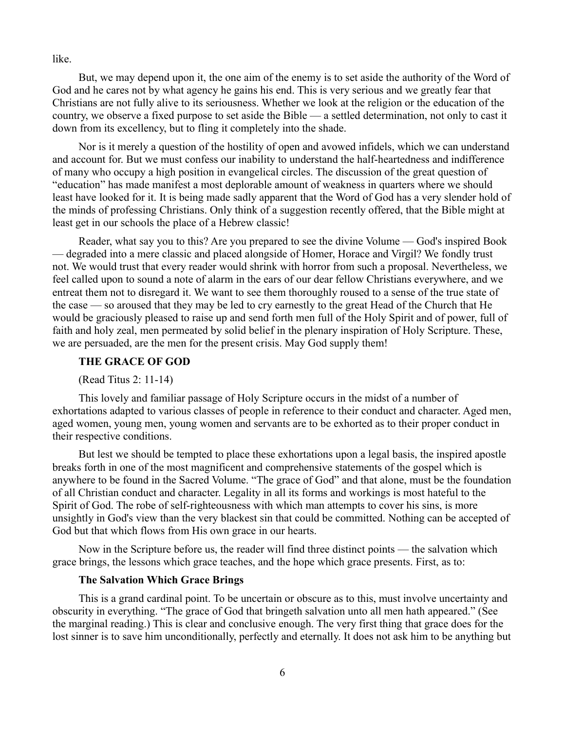like.

But, we may depend upon it, the one aim of the enemy is to set aside the authority of the Word of God and he cares not by what agency he gains his end. This is very serious and we greatly fear that Christians are not fully alive to its seriousness. Whether we look at the religion or the education of the country, we observe a fixed purpose to set aside the Bible — a settled determination, not only to cast it down from its excellency, but to fling it completely into the shade.

Nor is it merely a question of the hostility of open and avowed infidels, which we can understand and account for. But we must confess our inability to understand the half-heartedness and indifference of many who occupy a high position in evangelical circles. The discussion of the great question of "education" has made manifest a most deplorable amount of weakness in quarters where we should least have looked for it. It is being made sadly apparent that the Word of God has a very slender hold of the minds of professing Christians. Only think of a suggestion recently offered, that the Bible might at least get in our schools the place of a Hebrew classic!

Reader, what say you to this? Are you prepared to see the divine Volume — God's inspired Book — degraded into a mere classic and placed alongside of Homer, Horace and Virgil? We fondly trust not. We would trust that every reader would shrink with horror from such a proposal. Nevertheless, we feel called upon to sound a note of alarm in the ears of our dear fellow Christians everywhere, and we entreat them not to disregard it. We want to see them thoroughly roused to a sense of the true state of the case — so aroused that they may be led to cry earnestly to the great Head of the Church that He would be graciously pleased to raise up and send forth men full of the Holy Spirit and of power, full of faith and holy zeal, men permeated by solid belief in the plenary inspiration of Holy Scripture. These, we are persuaded, are the men for the present crisis. May God supply them!

### **THE GRACE OF GOD**

(Read Titus 2: 11-14)

This lovely and familiar passage of Holy Scripture occurs in the midst of a number of exhortations adapted to various classes of people in reference to their conduct and character. Aged men, aged women, young men, young women and servants are to be exhorted as to their proper conduct in their respective conditions.

But lest we should be tempted to place these exhortations upon a legal basis, the inspired apostle breaks forth in one of the most magnificent and comprehensive statements of the gospel which is anywhere to be found in the Sacred Volume. "The grace of God" and that alone, must be the foundation of all Christian conduct and character. Legality in all its forms and workings is most hateful to the Spirit of God. The robe of self-righteousness with which man attempts to cover his sins, is more unsightly in God's view than the very blackest sin that could be committed. Nothing can be accepted of God but that which flows from His own grace in our hearts.

Now in the Scripture before us, the reader will find three distinct points — the salvation which grace brings, the lessons which grace teaches, and the hope which grace presents. First, as to:

# **The Salvation Which Grace Brings**

This is a grand cardinal point. To be uncertain or obscure as to this, must involve uncertainty and obscurity in everything. "The grace of God that bringeth salvation unto all men hath appeared." (See the marginal reading.) This is clear and conclusive enough. The very first thing that grace does for the lost sinner is to save him unconditionally, perfectly and eternally. It does not ask him to be anything but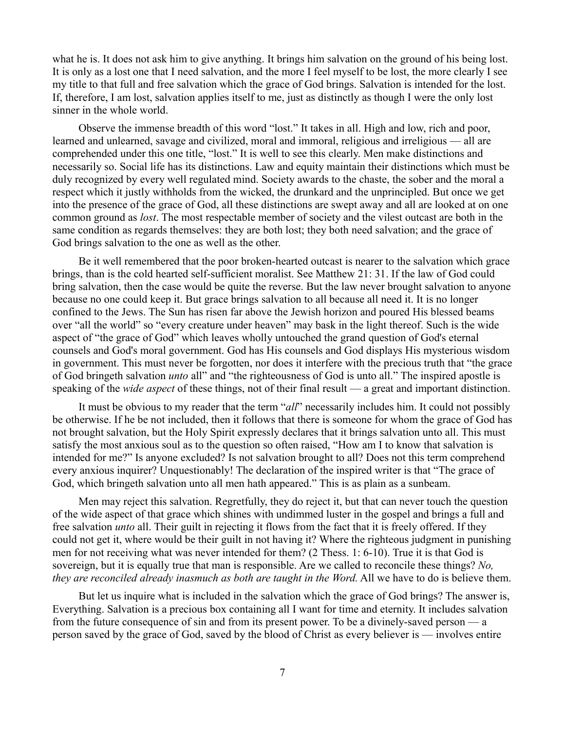what he is. It does not ask him to give anything. It brings him salvation on the ground of his being lost. It is only as a lost one that I need salvation, and the more I feel myself to be lost, the more clearly I see my title to that full and free salvation which the grace of God brings. Salvation is intended for the lost. If, therefore, I am lost, salvation applies itself to me, just as distinctly as though I were the only lost sinner in the whole world.

Observe the immense breadth of this word "lost." It takes in all. High and low, rich and poor, learned and unlearned, savage and civilized, moral and immoral, religious and irreligious — all are comprehended under this one title, "lost." It is well to see this clearly. Men make distinctions and necessarily so. Social life has its distinctions. Law and equity maintain their distinctions which must be duly recognized by every well regulated mind. Society awards to the chaste, the sober and the moral a respect which it justly withholds from the wicked, the drunkard and the unprincipled. But once we get into the presence of the grace of God, all these distinctions are swept away and all are looked at on one common ground as *lost*. The most respectable member of society and the vilest outcast are both in the same condition as regards themselves: they are both lost; they both need salvation; and the grace of God brings salvation to the one as well as the other.

Be it well remembered that the poor broken-hearted outcast is nearer to the salvation which grace brings, than is the cold hearted self-sufficient moralist. See Matthew 21: 31. If the law of God could bring salvation, then the case would be quite the reverse. But the law never brought salvation to anyone because no one could keep it. But grace brings salvation to all because all need it. It is no longer confined to the Jews. The Sun has risen far above the Jewish horizon and poured His blessed beams over "all the world" so "every creature under heaven" may bask in the light thereof. Such is the wide aspect of "the grace of God" which leaves wholly untouched the grand question of God's eternal counsels and God's moral government. God has His counsels and God displays His mysterious wisdom in government. This must never be forgotten, nor does it interfere with the precious truth that "the grace of God bringeth salvation *unto* all" and "the righteousness of God is unto all." The inspired apostle is speaking of the *wide aspect* of these things, not of their final result — a great and important distinction.

It must be obvious to my reader that the term "*all*" necessarily includes him. It could not possibly be otherwise. If he be not included, then it follows that there is someone for whom the grace of God has not brought salvation, but the Holy Spirit expressly declares that it brings salvation unto all. This must satisfy the most anxious soul as to the question so often raised, "How am I to know that salvation is intended for me?" Is anyone excluded? Is not salvation brought to all? Does not this term comprehend every anxious inquirer? Unquestionably! The declaration of the inspired writer is that "The grace of God, which bringeth salvation unto all men hath appeared." This is as plain as a sunbeam.

Men may reject this salvation. Regretfully, they do reject it, but that can never touch the question of the wide aspect of that grace which shines with undimmed luster in the gospel and brings a full and free salvation *unto* all. Their guilt in rejecting it flows from the fact that it is freely offered. If they could not get it, where would be their guilt in not having it? Where the righteous judgment in punishing men for not receiving what was never intended for them? (2 Thess. 1: 6-10). True it is that God is sovereign, but it is equally true that man is responsible. Are we called to reconcile these things? *No, they are reconciled already inasmuch as both are taught in the Word.* All we have to do is believe them.

But let us inquire what is included in the salvation which the grace of God brings? The answer is, Everything. Salvation is a precious box containing all I want for time and eternity. It includes salvation from the future consequence of sin and from its present power. To be a divinely-saved person — a person saved by the grace of God, saved by the blood of Christ as every believer is — involves entire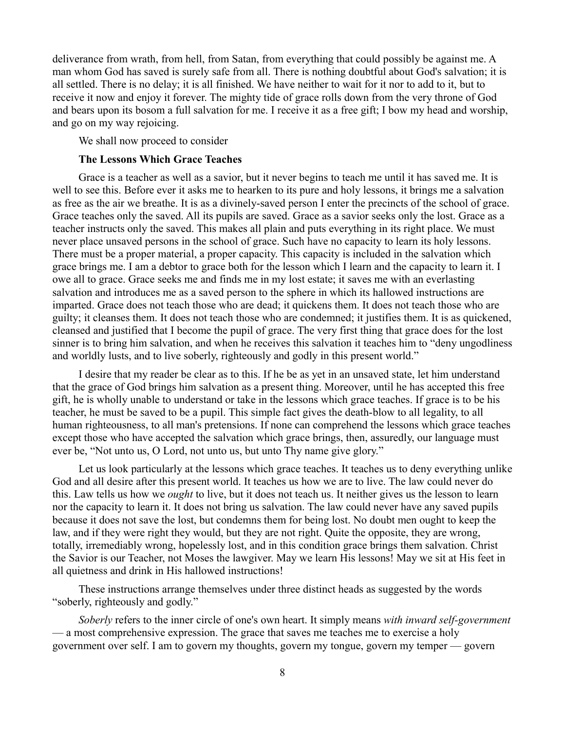deliverance from wrath, from hell, from Satan, from everything that could possibly be against me. A man whom God has saved is surely safe from all. There is nothing doubtful about God's salvation; it is all settled. There is no delay; it is all finished. We have neither to wait for it nor to add to it, but to receive it now and enjoy it forever. The mighty tide of grace rolls down from the very throne of God and bears upon its bosom a full salvation for me. I receive it as a free gift; I bow my head and worship, and go on my way rejoicing.

We shall now proceed to consider

### **The Lessons Which Grace Teaches**

Grace is a teacher as well as a savior, but it never begins to teach me until it has saved me. It is well to see this. Before ever it asks me to hearken to its pure and holy lessons, it brings me a salvation as free as the air we breathe. It is as a divinely-saved person I enter the precincts of the school of grace. Grace teaches only the saved. All its pupils are saved. Grace as a savior seeks only the lost. Grace as a teacher instructs only the saved. This makes all plain and puts everything in its right place. We must never place unsaved persons in the school of grace. Such have no capacity to learn its holy lessons. There must be a proper material, a proper capacity. This capacity is included in the salvation which grace brings me. I am a debtor to grace both for the lesson which I learn and the capacity to learn it. I owe all to grace. Grace seeks me and finds me in my lost estate; it saves me with an everlasting salvation and introduces me as a saved person to the sphere in which its hallowed instructions are imparted. Grace does not teach those who are dead; it quickens them. It does not teach those who are guilty; it cleanses them. It does not teach those who are condemned; it justifies them. It is as quickened, cleansed and justified that I become the pupil of grace. The very first thing that grace does for the lost sinner is to bring him salvation, and when he receives this salvation it teaches him to "deny ungodliness and worldly lusts, and to live soberly, righteously and godly in this present world."

I desire that my reader be clear as to this. If he be as yet in an unsaved state, let him understand that the grace of God brings him salvation as a present thing. Moreover, until he has accepted this free gift, he is wholly unable to understand or take in the lessons which grace teaches. If grace is to be his teacher, he must be saved to be a pupil. This simple fact gives the death-blow to all legality, to all human righteousness, to all man's pretensions. If none can comprehend the lessons which grace teaches except those who have accepted the salvation which grace brings, then, assuredly, our language must ever be, "Not unto us, O Lord, not unto us, but unto Thy name give glory."

Let us look particularly at the lessons which grace teaches. It teaches us to deny everything unlike God and all desire after this present world. It teaches us how we are to live. The law could never do this. Law tells us how we *ought* to live, but it does not teach us. It neither gives us the lesson to learn nor the capacity to learn it. It does not bring us salvation. The law could never have any saved pupils because it does not save the lost, but condemns them for being lost. No doubt men ought to keep the law, and if they were right they would, but they are not right. Quite the opposite, they are wrong, totally, irremediably wrong, hopelessly lost, and in this condition grace brings them salvation. Christ the Savior is our Teacher, not Moses the lawgiver. May we learn His lessons! May we sit at His feet in all quietness and drink in His hallowed instructions!

These instructions arrange themselves under three distinct heads as suggested by the words "soberly, righteously and godly."

*Soberly* refers to the inner circle of one's own heart. It simply means *with inward self-government* — a most comprehensive expression. The grace that saves me teaches me to exercise a holy government over self. I am to govern my thoughts, govern my tongue, govern my temper — govern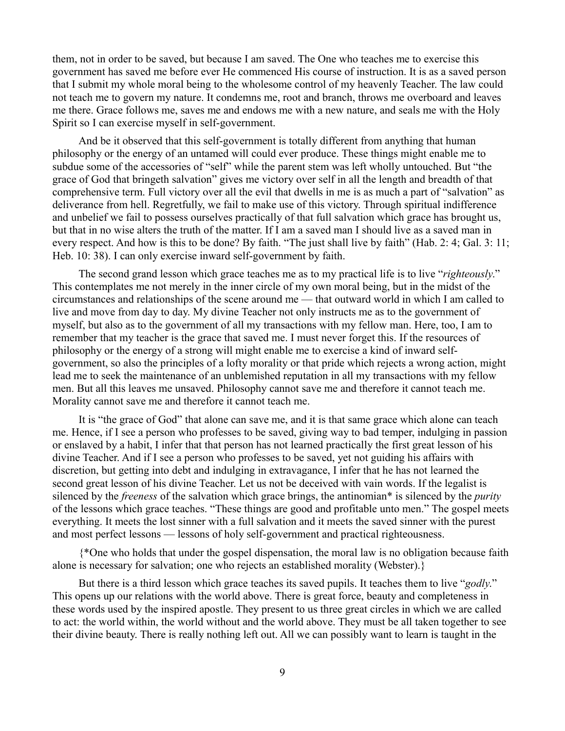them, not in order to be saved, but because I am saved. The One who teaches me to exercise this government has saved me before ever He commenced His course of instruction. It is as a saved person that I submit my whole moral being to the wholesome control of my heavenly Teacher. The law could not teach me to govern my nature. It condemns me, root and branch, throws me overboard and leaves me there. Grace follows me, saves me and endows me with a new nature, and seals me with the Holy Spirit so I can exercise myself in self-government.

And be it observed that this self-government is totally different from anything that human philosophy or the energy of an untamed will could ever produce. These things might enable me to subdue some of the accessories of "self" while the parent stem was left wholly untouched. But "the grace of God that bringeth salvation" gives me victory over self in all the length and breadth of that comprehensive term. Full victory over all the evil that dwells in me is as much a part of "salvation" as deliverance from hell. Regretfully, we fail to make use of this victory. Through spiritual indifference and unbelief we fail to possess ourselves practically of that full salvation which grace has brought us, but that in no wise alters the truth of the matter. If I am a saved man I should live as a saved man in every respect. And how is this to be done? By faith. "The just shall live by faith" (Hab. 2: 4; Gal. 3: 11; Heb. 10: 38). I can only exercise inward self-government by faith.

The second grand lesson which grace teaches me as to my practical life is to live "*righteously*." This contemplates me not merely in the inner circle of my own moral being, but in the midst of the circumstances and relationships of the scene around me — that outward world in which I am called to live and move from day to day. My divine Teacher not only instructs me as to the government of myself, but also as to the government of all my transactions with my fellow man. Here, too, I am to remember that my teacher is the grace that saved me. I must never forget this. If the resources of philosophy or the energy of a strong will might enable me to exercise a kind of inward selfgovernment, so also the principles of a lofty morality or that pride which rejects a wrong action, might lead me to seek the maintenance of an unblemished reputation in all my transactions with my fellow men. But all this leaves me unsaved. Philosophy cannot save me and therefore it cannot teach me. Morality cannot save me and therefore it cannot teach me.

It is "the grace of God" that alone can save me, and it is that same grace which alone can teach me. Hence, if I see a person who professes to be saved, giving way to bad temper, indulging in passion or enslaved by a habit, I infer that that person has not learned practically the first great lesson of his divine Teacher. And if I see a person who professes to be saved, yet not guiding his affairs with discretion, but getting into debt and indulging in extravagance, I infer that he has not learned the second great lesson of his divine Teacher. Let us not be deceived with vain words. If the legalist is silenced by the *freeness* of the salvation which grace brings, the antinomian\* is silenced by the *purity* of the lessons which grace teaches. "These things are good and profitable unto men." The gospel meets everything. It meets the lost sinner with a full salvation and it meets the saved sinner with the purest and most perfect lessons — lessons of holy self-government and practical righteousness.

{\*One who holds that under the gospel dispensation, the moral law is no obligation because faith alone is necessary for salvation; one who rejects an established morality (Webster).}

But there is a third lesson which grace teaches its saved pupils. It teaches them to live "*godly*." This opens up our relations with the world above. There is great force, beauty and completeness in these words used by the inspired apostle. They present to us three great circles in which we are called to act: the world within, the world without and the world above. They must be all taken together to see their divine beauty. There is really nothing left out. All we can possibly want to learn is taught in the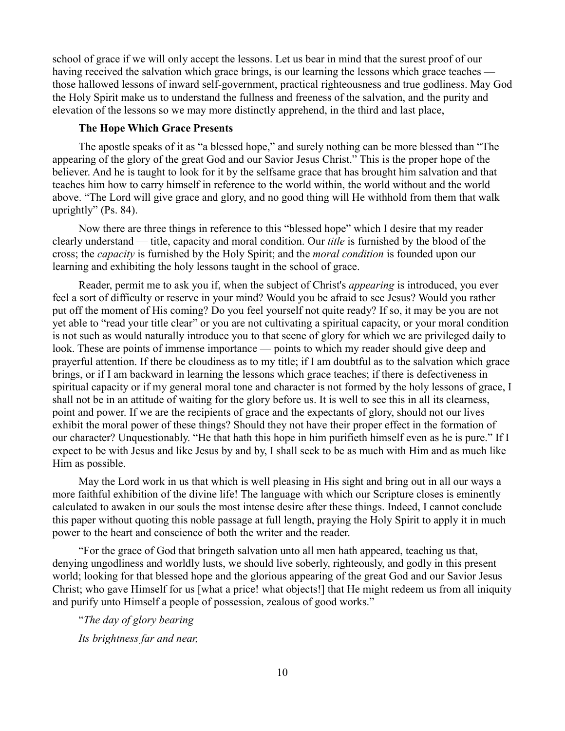school of grace if we will only accept the lessons. Let us bear in mind that the surest proof of our having received the salvation which grace brings, is our learning the lessons which grace teaches those hallowed lessons of inward self-government, practical righteousness and true godliness. May God the Holy Spirit make us to understand the fullness and freeness of the salvation, and the purity and elevation of the lessons so we may more distinctly apprehend, in the third and last place,

# **The Hope Which Grace Presents**

The apostle speaks of it as "a blessed hope," and surely nothing can be more blessed than "The appearing of the glory of the great God and our Savior Jesus Christ." This is the proper hope of the believer. And he is taught to look for it by the selfsame grace that has brought him salvation and that teaches him how to carry himself in reference to the world within, the world without and the world above. "The Lord will give grace and glory, and no good thing will He withhold from them that walk uprightly" (Ps. 84).

Now there are three things in reference to this "blessed hope" which I desire that my reader clearly understand — title, capacity and moral condition. Our *title* is furnished by the blood of the cross; the *capacity* is furnished by the Holy Spirit; and the *moral condition* is founded upon our learning and exhibiting the holy lessons taught in the school of grace.

Reader, permit me to ask you if, when the subject of Christ's *appearing* is introduced, you ever feel a sort of difficulty or reserve in your mind? Would you be afraid to see Jesus? Would you rather put off the moment of His coming? Do you feel yourself not quite ready? If so, it may be you are not yet able to "read your title clear" or you are not cultivating a spiritual capacity, or your moral condition is not such as would naturally introduce you to that scene of glory for which we are privileged daily to look. These are points of immense importance — points to which my reader should give deep and prayerful attention. If there be cloudiness as to my title; if I am doubtful as to the salvation which grace brings, or if I am backward in learning the lessons which grace teaches; if there is defectiveness in spiritual capacity or if my general moral tone and character is not formed by the holy lessons of grace, I shall not be in an attitude of waiting for the glory before us. It is well to see this in all its clearness, point and power. If we are the recipients of grace and the expectants of glory, should not our lives exhibit the moral power of these things? Should they not have their proper effect in the formation of our character? Unquestionably. "He that hath this hope in him purifieth himself even as he is pure." If I expect to be with Jesus and like Jesus by and by, I shall seek to be as much with Him and as much like Him as possible.

May the Lord work in us that which is well pleasing in His sight and bring out in all our ways a more faithful exhibition of the divine life! The language with which our Scripture closes is eminently calculated to awaken in our souls the most intense desire after these things. Indeed, I cannot conclude this paper without quoting this noble passage at full length, praying the Holy Spirit to apply it in much power to the heart and conscience of both the writer and the reader.

"For the grace of God that bringeth salvation unto all men hath appeared, teaching us that, denying ungodliness and worldly lusts, we should live soberly, righteously, and godly in this present world; looking for that blessed hope and the glorious appearing of the great God and our Savior Jesus Christ; who gave Himself for us [what a price! what objects!] that He might redeem us from all iniquity and purify unto Himself a people of possession, zealous of good works."

"*The day of glory bearing Its brightness far and near,*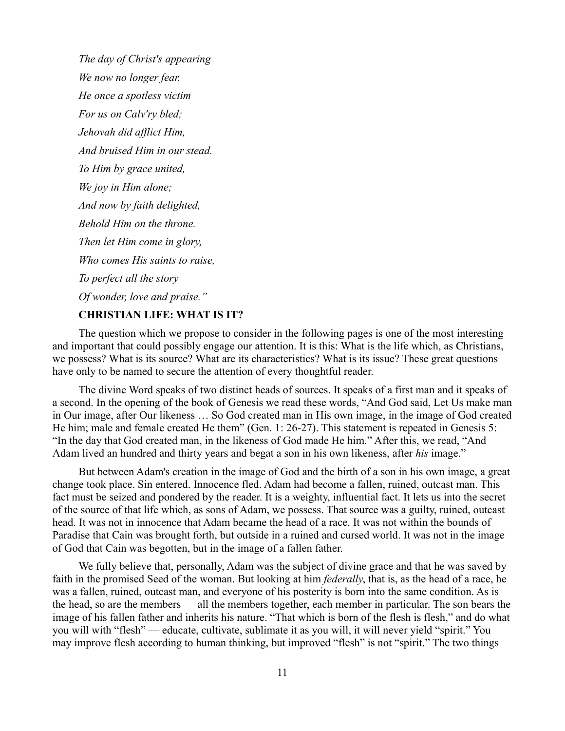*The day of Christ's appearing We now no longer fear. He once a spotless victim For us on Calv'ry bled; Jehovah did afflict Him, And bruised Him in our stead. To Him by grace united, We joy in Him alone; And now by faith delighted, Behold Him on the throne. Then let Him come in glory, Who comes His saints to raise, To perfect all the story Of wonder, love and praise."*

# **CHRISTIAN LIFE: WHAT IS IT?**

The question which we propose to consider in the following pages is one of the most interesting and important that could possibly engage our attention. It is this: What is the life which, as Christians, we possess? What is its source? What are its characteristics? What is its issue? These great questions have only to be named to secure the attention of every thoughtful reader.

The divine Word speaks of two distinct heads of sources. It speaks of a first man and it speaks of a second. In the opening of the book of Genesis we read these words, "And God said, Let Us make man in Our image, after Our likeness … So God created man in His own image, in the image of God created He him; male and female created He them" (Gen. 1: 26-27). This statement is repeated in Genesis 5: "In the day that God created man, in the likeness of God made He him." After this, we read, "And Adam lived an hundred and thirty years and begat a son in his own likeness, after *his* image."

But between Adam's creation in the image of God and the birth of a son in his own image, a great change took place. Sin entered. Innocence fled. Adam had become a fallen, ruined, outcast man. This fact must be seized and pondered by the reader. It is a weighty, influential fact. It lets us into the secret of the source of that life which, as sons of Adam, we possess. That source was a guilty, ruined, outcast head. It was not in innocence that Adam became the head of a race. It was not within the bounds of Paradise that Cain was brought forth, but outside in a ruined and cursed world. It was not in the image of God that Cain was begotten, but in the image of a fallen father.

We fully believe that, personally, Adam was the subject of divine grace and that he was saved by faith in the promised Seed of the woman. But looking at him *federally*, that is, as the head of a race, he was a fallen, ruined, outcast man, and everyone of his posterity is born into the same condition. As is the head, so are the members — all the members together, each member in particular. The son bears the image of his fallen father and inherits his nature. "That which is born of the flesh is flesh," and do what you will with "flesh" — educate, cultivate, sublimate it as you will, it will never yield "spirit." You may improve flesh according to human thinking, but improved "flesh" is not "spirit." The two things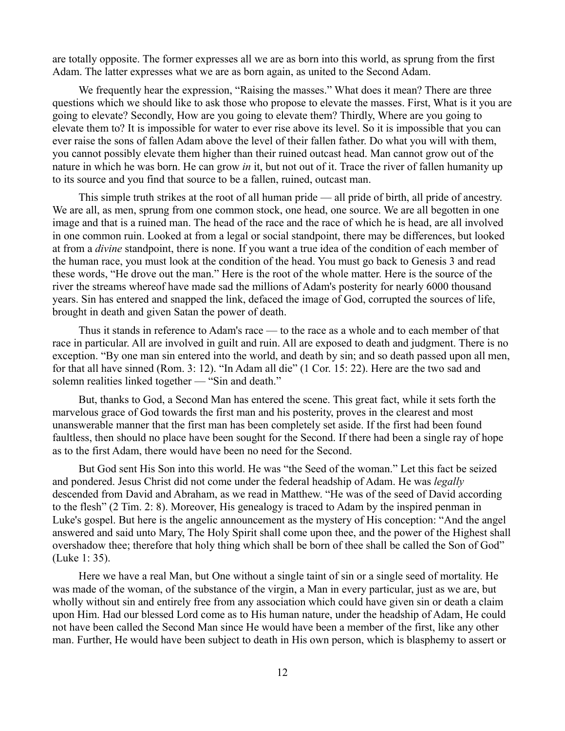are totally opposite. The former expresses all we are as born into this world, as sprung from the first Adam. The latter expresses what we are as born again, as united to the Second Adam.

We frequently hear the expression, "Raising the masses." What does it mean? There are three questions which we should like to ask those who propose to elevate the masses. First, What is it you are going to elevate? Secondly, How are you going to elevate them? Thirdly, Where are you going to elevate them to? It is impossible for water to ever rise above its level. So it is impossible that you can ever raise the sons of fallen Adam above the level of their fallen father. Do what you will with them, you cannot possibly elevate them higher than their ruined outcast head. Man cannot grow out of the nature in which he was born. He can grow *in* it, but not out of it. Trace the river of fallen humanity up to its source and you find that source to be a fallen, ruined, outcast man.

This simple truth strikes at the root of all human pride — all pride of birth, all pride of ancestry. We are all, as men, sprung from one common stock, one head, one source. We are all begotten in one image and that is a ruined man. The head of the race and the race of which he is head, are all involved in one common ruin. Looked at from a legal or social standpoint, there may be differences, but looked at from a *divine* standpoint, there is none. If you want a true idea of the condition of each member of the human race, you must look at the condition of the head. You must go back to Genesis 3 and read these words, "He drove out the man." Here is the root of the whole matter. Here is the source of the river the streams whereof have made sad the millions of Adam's posterity for nearly 6000 thousand years. Sin has entered and snapped the link, defaced the image of God, corrupted the sources of life, brought in death and given Satan the power of death.

Thus it stands in reference to Adam's race — to the race as a whole and to each member of that race in particular. All are involved in guilt and ruin. All are exposed to death and judgment. There is no exception. "By one man sin entered into the world, and death by sin; and so death passed upon all men, for that all have sinned (Rom. 3: 12). "In Adam all die" (1 Cor. 15: 22). Here are the two sad and solemn realities linked together — "Sin and death."

But, thanks to God, a Second Man has entered the scene. This great fact, while it sets forth the marvelous grace of God towards the first man and his posterity, proves in the clearest and most unanswerable manner that the first man has been completely set aside. If the first had been found faultless, then should no place have been sought for the Second. If there had been a single ray of hope as to the first Adam, there would have been no need for the Second.

But God sent His Son into this world. He was "the Seed of the woman." Let this fact be seized and pondered. Jesus Christ did not come under the federal headship of Adam. He was *legally* descended from David and Abraham, as we read in Matthew. "He was of the seed of David according to the flesh" (2 Tim. 2: 8). Moreover, His genealogy is traced to Adam by the inspired penman in Luke's gospel. But here is the angelic announcement as the mystery of His conception: "And the angel answered and said unto Mary, The Holy Spirit shall come upon thee, and the power of the Highest shall overshadow thee; therefore that holy thing which shall be born of thee shall be called the Son of God" (Luke 1: 35).

Here we have a real Man, but One without a single taint of sin or a single seed of mortality. He was made of the woman, of the substance of the virgin, a Man in every particular, just as we are, but wholly without sin and entirely free from any association which could have given sin or death a claim upon Him. Had our blessed Lord come as to His human nature, under the headship of Adam, He could not have been called the Second Man since He would have been a member of the first, like any other man. Further, He would have been subject to death in His own person, which is blasphemy to assert or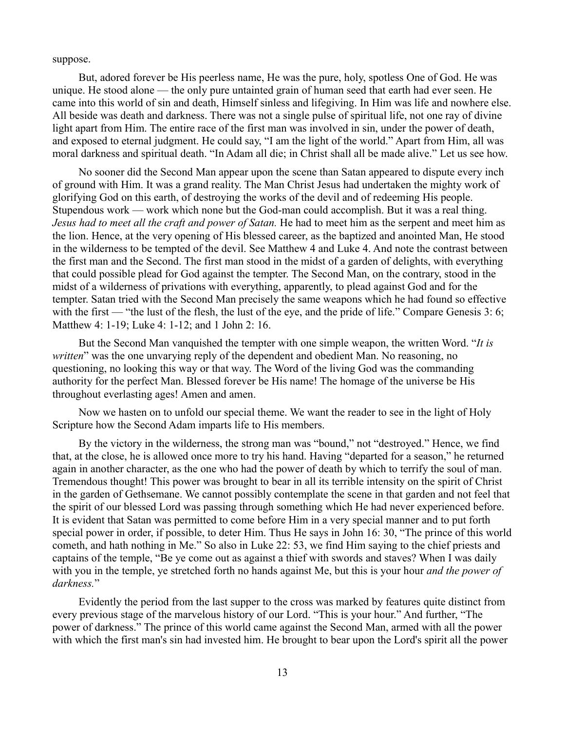suppose.

But, adored forever be His peerless name, He was the pure, holy, spotless One of God. He was unique. He stood alone — the only pure untainted grain of human seed that earth had ever seen. He came into this world of sin and death, Himself sinless and lifegiving. In Him was life and nowhere else. All beside was death and darkness. There was not a single pulse of spiritual life, not one ray of divine light apart from Him. The entire race of the first man was involved in sin, under the power of death, and exposed to eternal judgment. He could say, "I am the light of the world." Apart from Him, all was moral darkness and spiritual death. "In Adam all die; in Christ shall all be made alive." Let us see how.

No sooner did the Second Man appear upon the scene than Satan appeared to dispute every inch of ground with Him. It was a grand reality. The Man Christ Jesus had undertaken the mighty work of glorifying God on this earth, of destroying the works of the devil and of redeeming His people. Stupendous work — work which none but the God-man could accomplish. But it was a real thing. *Jesus had to meet all the craft and power of Satan.* He had to meet him as the serpent and meet him as the lion. Hence, at the very opening of His blessed career, as the baptized and anointed Man, He stood in the wilderness to be tempted of the devil. See Matthew 4 and Luke 4. And note the contrast between the first man and the Second. The first man stood in the midst of a garden of delights, with everything that could possible plead for God against the tempter. The Second Man, on the contrary, stood in the midst of a wilderness of privations with everything, apparently, to plead against God and for the tempter. Satan tried with the Second Man precisely the same weapons which he had found so effective with the first — "the lust of the flesh, the lust of the eye, and the pride of life." Compare Genesis 3: 6; Matthew 4: 1-19; Luke 4: 1-12; and 1 John 2: 16.

But the Second Man vanquished the tempter with one simple weapon, the written Word. "*It is written*" was the one unvarying reply of the dependent and obedient Man. No reasoning, no questioning, no looking this way or that way. The Word of the living God was the commanding authority for the perfect Man. Blessed forever be His name! The homage of the universe be His throughout everlasting ages! Amen and amen.

Now we hasten on to unfold our special theme. We want the reader to see in the light of Holy Scripture how the Second Adam imparts life to His members.

By the victory in the wilderness, the strong man was "bound," not "destroyed." Hence, we find that, at the close, he is allowed once more to try his hand. Having "departed for a season," he returned again in another character, as the one who had the power of death by which to terrify the soul of man. Tremendous thought! This power was brought to bear in all its terrible intensity on the spirit of Christ in the garden of Gethsemane. We cannot possibly contemplate the scene in that garden and not feel that the spirit of our blessed Lord was passing through something which He had never experienced before. It is evident that Satan was permitted to come before Him in a very special manner and to put forth special power in order, if possible, to deter Him. Thus He says in John 16: 30, "The prince of this world cometh, and hath nothing in Me." So also in Luke 22: 53, we find Him saying to the chief priests and captains of the temple, "Be ye come out as against a thief with swords and staves? When I was daily with you in the temple, ye stretched forth no hands against Me, but this is your hour *and the power of darkness.*"

Evidently the period from the last supper to the cross was marked by features quite distinct from every previous stage of the marvelous history of our Lord. "This is your hour." And further, "The power of darkness." The prince of this world came against the Second Man, armed with all the power with which the first man's sin had invested him. He brought to bear upon the Lord's spirit all the power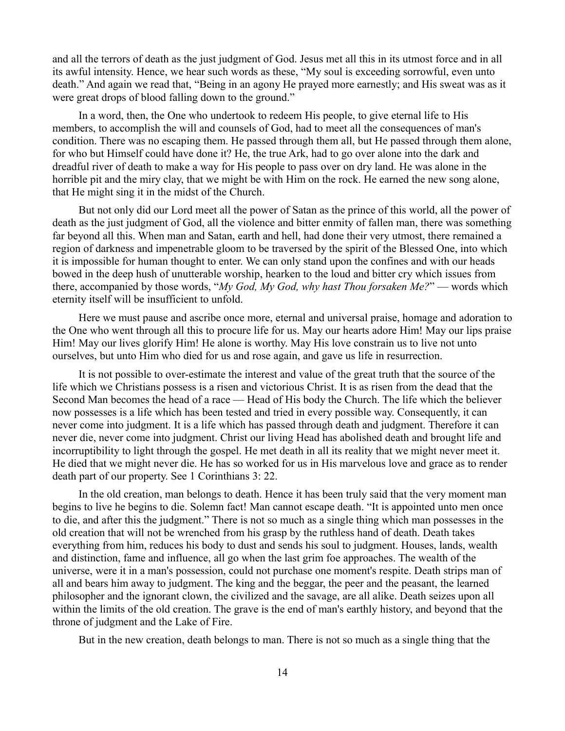and all the terrors of death as the just judgment of God. Jesus met all this in its utmost force and in all its awful intensity. Hence, we hear such words as these, "My soul is exceeding sorrowful, even unto death." And again we read that, "Being in an agony He prayed more earnestly; and His sweat was as it were great drops of blood falling down to the ground."

In a word, then, the One who undertook to redeem His people, to give eternal life to His members, to accomplish the will and counsels of God, had to meet all the consequences of man's condition. There was no escaping them. He passed through them all, but He passed through them alone, for who but Himself could have done it? He, the true Ark, had to go over alone into the dark and dreadful river of death to make a way for His people to pass over on dry land. He was alone in the horrible pit and the miry clay, that we might be with Him on the rock. He earned the new song alone, that He might sing it in the midst of the Church.

But not only did our Lord meet all the power of Satan as the prince of this world, all the power of death as the just judgment of God, all the violence and bitter enmity of fallen man, there was something far beyond all this. When man and Satan, earth and hell, had done their very utmost, there remained a region of darkness and impenetrable gloom to be traversed by the spirit of the Blessed One, into which it is impossible for human thought to enter. We can only stand upon the confines and with our heads bowed in the deep hush of unutterable worship, hearken to the loud and bitter cry which issues from there, accompanied by those words, "*My God, My God, why hast Thou forsaken Me?*" — words which eternity itself will be insufficient to unfold.

Here we must pause and ascribe once more, eternal and universal praise, homage and adoration to the One who went through all this to procure life for us. May our hearts adore Him! May our lips praise Him! May our lives glorify Him! He alone is worthy. May His love constrain us to live not unto ourselves, but unto Him who died for us and rose again, and gave us life in resurrection.

It is not possible to over-estimate the interest and value of the great truth that the source of the life which we Christians possess is a risen and victorious Christ. It is as risen from the dead that the Second Man becomes the head of a race — Head of His body the Church. The life which the believer now possesses is a life which has been tested and tried in every possible way. Consequently, it can never come into judgment. It is a life which has passed through death and judgment. Therefore it can never die, never come into judgment. Christ our living Head has abolished death and brought life and incorruptibility to light through the gospel. He met death in all its reality that we might never meet it. He died that we might never die. He has so worked for us in His marvelous love and grace as to render death part of our property. See 1 Corinthians 3: 22.

In the old creation, man belongs to death. Hence it has been truly said that the very moment man begins to live he begins to die. Solemn fact! Man cannot escape death. "It is appointed unto men once to die, and after this the judgment." There is not so much as a single thing which man possesses in the old creation that will not be wrenched from his grasp by the ruthless hand of death. Death takes everything from him, reduces his body to dust and sends his soul to judgment. Houses, lands, wealth and distinction, fame and influence, all go when the last grim foe approaches. The wealth of the universe, were it in a man's possession, could not purchase one moment's respite. Death strips man of all and bears him away to judgment. The king and the beggar, the peer and the peasant, the learned philosopher and the ignorant clown, the civilized and the savage, are all alike. Death seizes upon all within the limits of the old creation. The grave is the end of man's earthly history, and beyond that the throne of judgment and the Lake of Fire.

But in the new creation, death belongs to man. There is not so much as a single thing that the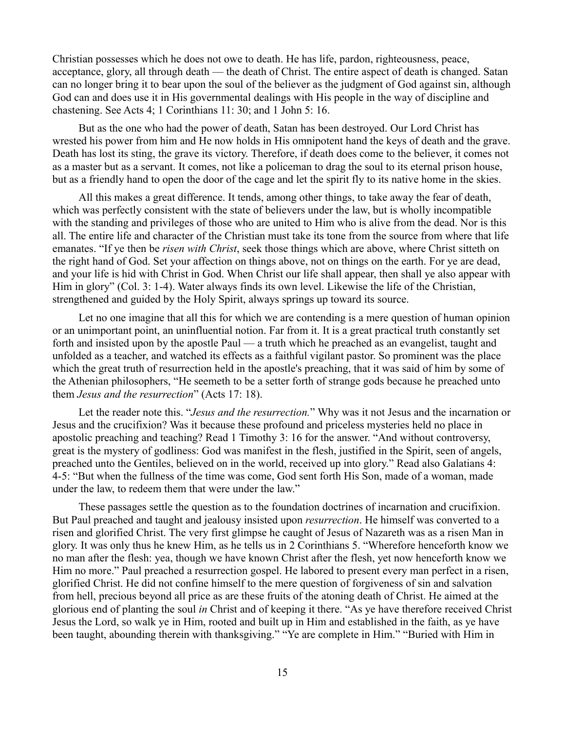Christian possesses which he does not owe to death. He has life, pardon, righteousness, peace, acceptance, glory, all through death — the death of Christ. The entire aspect of death is changed. Satan can no longer bring it to bear upon the soul of the believer as the judgment of God against sin, although God can and does use it in His governmental dealings with His people in the way of discipline and chastening. See Acts 4; 1 Corinthians 11: 30; and 1 John 5: 16.

But as the one who had the power of death, Satan has been destroyed. Our Lord Christ has wrested his power from him and He now holds in His omnipotent hand the keys of death and the grave. Death has lost its sting, the grave its victory. Therefore, if death does come to the believer, it comes not as a master but as a servant. It comes, not like a policeman to drag the soul to its eternal prison house, but as a friendly hand to open the door of the cage and let the spirit fly to its native home in the skies.

All this makes a great difference. It tends, among other things, to take away the fear of death, which was perfectly consistent with the state of believers under the law, but is wholly incompatible with the standing and privileges of those who are united to Him who is alive from the dead. Nor is this all. The entire life and character of the Christian must take its tone from the source from where that life emanates. "If ye then be *risen with Christ*, seek those things which are above, where Christ sitteth on the right hand of God. Set your affection on things above, not on things on the earth. For ye are dead, and your life is hid with Christ in God. When Christ our life shall appear, then shall ye also appear with Him in glory" (Col. 3: 1-4). Water always finds its own level. Likewise the life of the Christian, strengthened and guided by the Holy Spirit, always springs up toward its source.

Let no one imagine that all this for which we are contending is a mere question of human opinion or an unimportant point, an uninfluential notion. Far from it. It is a great practical truth constantly set forth and insisted upon by the apostle Paul — a truth which he preached as an evangelist, taught and unfolded as a teacher, and watched its effects as a faithful vigilant pastor. So prominent was the place which the great truth of resurrection held in the apostle's preaching, that it was said of him by some of the Athenian philosophers, "He seemeth to be a setter forth of strange gods because he preached unto them *Jesus and the resurrection*" (Acts 17: 18).

Let the reader note this. "*Jesus and the resurrection.*" Why was it not Jesus and the incarnation or Jesus and the crucifixion? Was it because these profound and priceless mysteries held no place in apostolic preaching and teaching? Read 1 Timothy 3: 16 for the answer. "And without controversy, great is the mystery of godliness: God was manifest in the flesh, justified in the Spirit, seen of angels, preached unto the Gentiles, believed on in the world, received up into glory." Read also Galatians 4: 4-5: "But when the fullness of the time was come, God sent forth His Son, made of a woman, made under the law, to redeem them that were under the law."

These passages settle the question as to the foundation doctrines of incarnation and crucifixion. But Paul preached and taught and jealousy insisted upon *resurrection*. He himself was converted to a risen and glorified Christ. The very first glimpse he caught of Jesus of Nazareth was as a risen Man in glory. It was only thus he knew Him, as he tells us in 2 Corinthians 5. "Wherefore henceforth know we no man after the flesh: yea, though we have known Christ after the flesh, yet now henceforth know we Him no more." Paul preached a resurrection gospel. He labored to present every man perfect in a risen, glorified Christ. He did not confine himself to the mere question of forgiveness of sin and salvation from hell, precious beyond all price as are these fruits of the atoning death of Christ. He aimed at the glorious end of planting the soul *in* Christ and of keeping it there. "As ye have therefore received Christ Jesus the Lord, so walk ye in Him, rooted and built up in Him and established in the faith, as ye have been taught, abounding therein with thanksgiving." "Ye are complete in Him." "Buried with Him in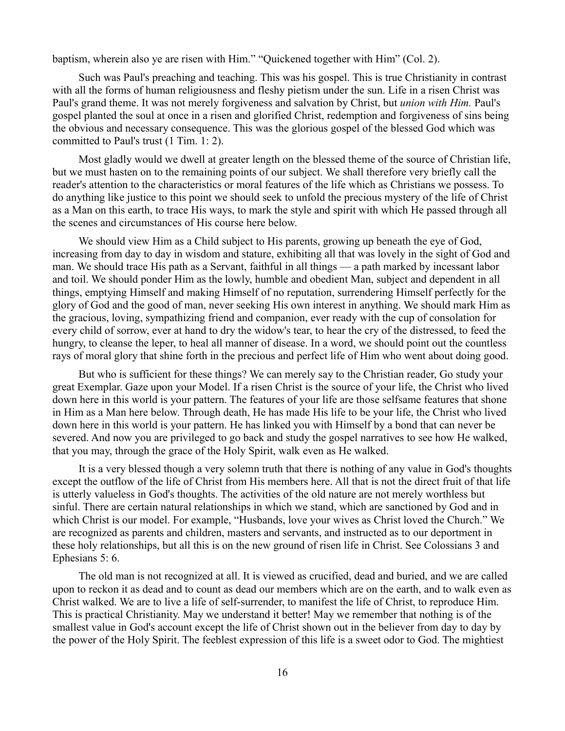baptism, wherein also ye are risen with Him." "Quickened together with Him" (Col. 2).

Such was Paul's preaching and teaching. This was his gospel. This is true Christianity in contrast with all the forms of human religiousness and fleshy pietism under the sun. Life in a risen Christ was Paul's grand theme. It was not merely forgiveness and salvation by Christ, but *union with Him.* Paul's gospel planted the soul at once in a risen and glorified Christ, redemption and forgiveness of sins being the obvious and necessary consequence. This was the glorious gospel of the blessed God which was committed to Paul's trust (1 Tim. 1: 2).

Most gladly would we dwell at greater length on the blessed theme of the source of Christian life, but we must hasten on to the remaining points of our subject. We shall therefore very briefly call the reader's attention to the characteristics or moral features of the life which as Christians we possess. To do anything like justice to this point we should seek to unfold the precious mystery of the life of Christ as a Man on this earth, to trace His ways, to mark the style and spirit with which He passed through all the scenes and circumstances of His course here below.

We should view Him as a Child subject to His parents, growing up beneath the eye of God, increasing from day to day in wisdom and stature, exhibiting all that was lovely in the sight of God and man. We should trace His path as a Servant, faithful in all things — a path marked by incessant labor and toil. We should ponder Him as the lowly, humble and obedient Man, subject and dependent in all things, emptying Himself and making Himself of no reputation, surrendering Himself perfectly for the glory of God and the good of man, never seeking His own interest in anything. We should mark Him as the gracious, loving, sympathizing friend and companion, ever ready with the cup of consolation for every child of sorrow, ever at hand to dry the widow's tear, to hear the cry of the distressed, to feed the hungry, to cleanse the leper, to heal all manner of disease. In a word, we should point out the countless rays of moral glory that shine forth in the precious and perfect life of Him who went about doing good.

But who is sufficient for these things? We can merely say to the Christian reader, Go study your great Exemplar. Gaze upon your Model. If a risen Christ is the source of your life, the Christ who lived down here in this world is your pattern. The features of your life are those selfsame features that shone in Him as a Man here below. Through death, He has made His life to be your life, the Christ who lived down here in this world is your pattern. He has linked you with Himself by a bond that can never be severed. And now you are privileged to go back and study the gospel narratives to see how He walked, that you may, through the grace of the Holy Spirit, walk even as He walked.

It is a very blessed though a very solemn truth that there is nothing of any value in God's thoughts except the outflow of the life of Christ from His members here. All that is not the direct fruit of that life is utterly valueless in God's thoughts. The activities of the old nature are not merely worthless but sinful. There are certain natural relationships in which we stand, which are sanctioned by God and in which Christ is our model. For example, "Husbands, love your wives as Christ loved the Church." We are recognized as parents and children, masters and servants, and instructed as to our deportment in these holy relationships, but all this is on the new ground of risen life in Christ. See Colossians 3 and Ephesians 5: 6.

The old man is not recognized at all. It is viewed as crucified, dead and buried, and we are called upon to reckon it as dead and to count as dead our members which are on the earth, and to walk even as Christ walked. We are to live a life of self-surrender, to manifest the life of Christ, to reproduce Him. This is practical Christianity. May we understand it better! May we remember that nothing is of the smallest value in God's account except the life of Christ shown out in the believer from day to day by the power of the Holy Spirit. The feeblest expression of this life is a sweet odor to God. The mightiest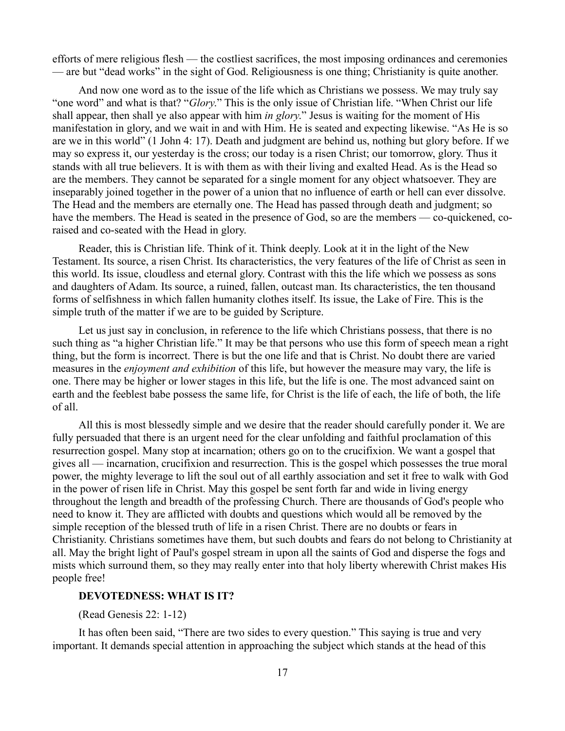efforts of mere religious flesh — the costliest sacrifices, the most imposing ordinances and ceremonies — are but "dead works" in the sight of God. Religiousness is one thing; Christianity is quite another.

And now one word as to the issue of the life which as Christians we possess. We may truly say "one word" and what is that? "*Glory*." This is the only issue of Christian life. "When Christ our life shall appear, then shall ye also appear with him *in glory*." Jesus is waiting for the moment of His manifestation in glory, and we wait in and with Him. He is seated and expecting likewise. "As He is so are we in this world" (1 John 4: 17). Death and judgment are behind us, nothing but glory before. If we may so express it, our yesterday is the cross; our today is a risen Christ; our tomorrow, glory. Thus it stands with all true believers. It is with them as with their living and exalted Head. As is the Head so are the members. They cannot be separated for a single moment for any object whatsoever. They are inseparably joined together in the power of a union that no influence of earth or hell can ever dissolve. The Head and the members are eternally one. The Head has passed through death and judgment; so have the members. The Head is seated in the presence of God, so are the members — co-quickened, coraised and co-seated with the Head in glory.

Reader, this is Christian life. Think of it. Think deeply. Look at it in the light of the New Testament. Its source, a risen Christ. Its characteristics, the very features of the life of Christ as seen in this world. Its issue, cloudless and eternal glory. Contrast with this the life which we possess as sons and daughters of Adam. Its source, a ruined, fallen, outcast man. Its characteristics, the ten thousand forms of selfishness in which fallen humanity clothes itself. Its issue, the Lake of Fire. This is the simple truth of the matter if we are to be guided by Scripture.

Let us just say in conclusion, in reference to the life which Christians possess, that there is no such thing as "a higher Christian life." It may be that persons who use this form of speech mean a right thing, but the form is incorrect. There is but the one life and that is Christ. No doubt there are varied measures in the *enjoyment and exhibition* of this life, but however the measure may vary, the life is one. There may be higher or lower stages in this life, but the life is one. The most advanced saint on earth and the feeblest babe possess the same life, for Christ is the life of each, the life of both, the life of all.

All this is most blessedly simple and we desire that the reader should carefully ponder it. We are fully persuaded that there is an urgent need for the clear unfolding and faithful proclamation of this resurrection gospel. Many stop at incarnation; others go on to the crucifixion. We want a gospel that gives all — incarnation, crucifixion and resurrection. This is the gospel which possesses the true moral power, the mighty leverage to lift the soul out of all earthly association and set it free to walk with God in the power of risen life in Christ. May this gospel be sent forth far and wide in living energy throughout the length and breadth of the professing Church. There are thousands of God's people who need to know it. They are afflicted with doubts and questions which would all be removed by the simple reception of the blessed truth of life in a risen Christ. There are no doubts or fears in Christianity. Christians sometimes have them, but such doubts and fears do not belong to Christianity at all. May the bright light of Paul's gospel stream in upon all the saints of God and disperse the fogs and mists which surround them, so they may really enter into that holy liberty wherewith Christ makes His people free!

### **DEVOTEDNESS: WHAT IS IT?**

(Read Genesis 22: 1-12)

It has often been said, "There are two sides to every question." This saying is true and very important. It demands special attention in approaching the subject which stands at the head of this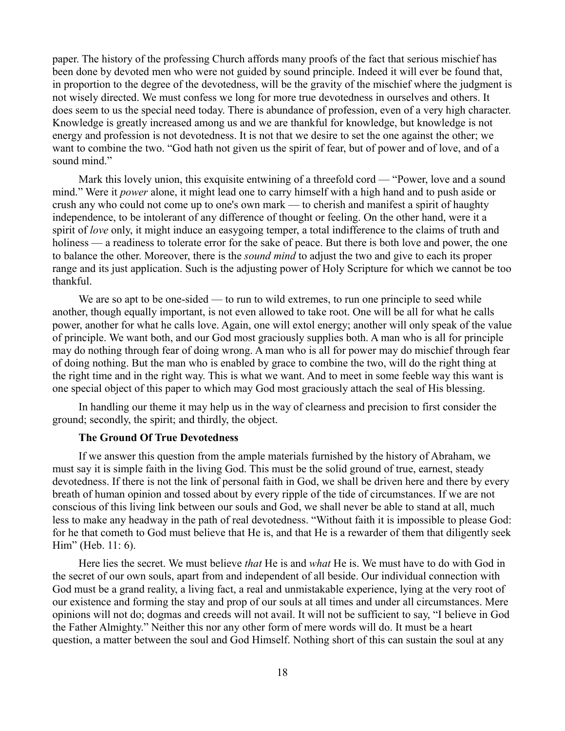paper. The history of the professing Church affords many proofs of the fact that serious mischief has been done by devoted men who were not guided by sound principle. Indeed it will ever be found that, in proportion to the degree of the devotedness, will be the gravity of the mischief where the judgment is not wisely directed. We must confess we long for more true devotedness in ourselves and others. It does seem to us the special need today. There is abundance of profession, even of a very high character. Knowledge is greatly increased among us and we are thankful for knowledge, but knowledge is not energy and profession is not devotedness. It is not that we desire to set the one against the other; we want to combine the two. "God hath not given us the spirit of fear, but of power and of love, and of a sound mind."

Mark this lovely union, this exquisite entwining of a threefold cord — "Power, love and a sound mind." Were it *power* alone, it might lead one to carry himself with a high hand and to push aside or crush any who could not come up to one's own mark — to cherish and manifest a spirit of haughty independence, to be intolerant of any difference of thought or feeling. On the other hand, were it a spirit of *love* only, it might induce an easygoing temper, a total indifference to the claims of truth and holiness — a readiness to tolerate error for the sake of peace. But there is both love and power, the one to balance the other. Moreover, there is the *sound mind* to adjust the two and give to each its proper range and its just application. Such is the adjusting power of Holy Scripture for which we cannot be too thankful.

We are so apt to be one-sided — to run to wild extremes, to run one principle to seed while another, though equally important, is not even allowed to take root. One will be all for what he calls power, another for what he calls love. Again, one will extol energy; another will only speak of the value of principle. We want both, and our God most graciously supplies both. A man who is all for principle may do nothing through fear of doing wrong. A man who is all for power may do mischief through fear of doing nothing. But the man who is enabled by grace to combine the two, will do the right thing at the right time and in the right way. This is what we want. And to meet in some feeble way this want is one special object of this paper to which may God most graciously attach the seal of His blessing.

In handling our theme it may help us in the way of clearness and precision to first consider the ground; secondly, the spirit; and thirdly, the object.

## **The Ground Of True Devotedness**

If we answer this question from the ample materials furnished by the history of Abraham, we must say it is simple faith in the living God. This must be the solid ground of true, earnest, steady devotedness. If there is not the link of personal faith in God, we shall be driven here and there by every breath of human opinion and tossed about by every ripple of the tide of circumstances. If we are not conscious of this living link between our souls and God, we shall never be able to stand at all, much less to make any headway in the path of real devotedness. "Without faith it is impossible to please God: for he that cometh to God must believe that He is, and that He is a rewarder of them that diligently seek Him" (Heb. 11: 6).

Here lies the secret. We must believe *that* He is and *what* He is. We must have to do with God in the secret of our own souls, apart from and independent of all beside. Our individual connection with God must be a grand reality, a living fact, a real and unmistakable experience, lying at the very root of our existence and forming the stay and prop of our souls at all times and under all circumstances. Mere opinions will not do; dogmas and creeds will not avail. It will not be sufficient to say, "I believe in God the Father Almighty." Neither this nor any other form of mere words will do. It must be a heart question, a matter between the soul and God Himself. Nothing short of this can sustain the soul at any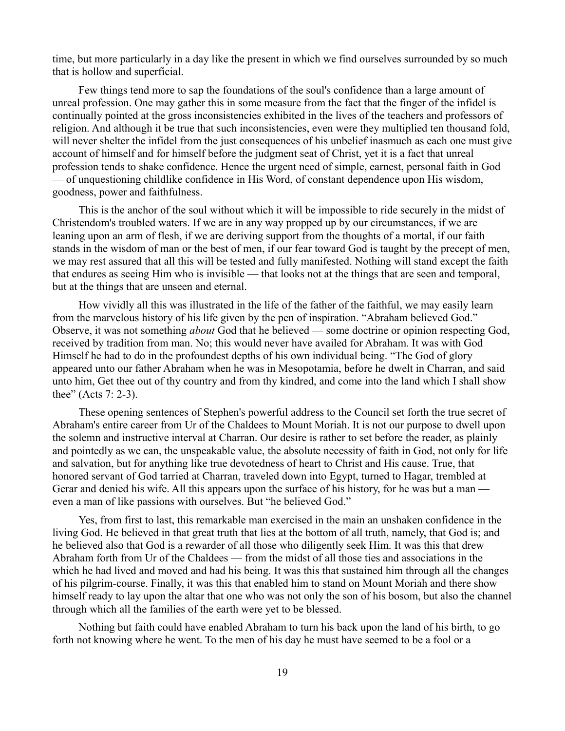time, but more particularly in a day like the present in which we find ourselves surrounded by so much that is hollow and superficial.

Few things tend more to sap the foundations of the soul's confidence than a large amount of unreal profession. One may gather this in some measure from the fact that the finger of the infidel is continually pointed at the gross inconsistencies exhibited in the lives of the teachers and professors of religion. And although it be true that such inconsistencies, even were they multiplied ten thousand fold, will never shelter the infidel from the just consequences of his unbelief inasmuch as each one must give account of himself and for himself before the judgment seat of Christ, yet it is a fact that unreal profession tends to shake confidence. Hence the urgent need of simple, earnest, personal faith in God — of unquestioning childlike confidence in His Word, of constant dependence upon His wisdom, goodness, power and faithfulness.

This is the anchor of the soul without which it will be impossible to ride securely in the midst of Christendom's troubled waters. If we are in any way propped up by our circumstances, if we are leaning upon an arm of flesh, if we are deriving support from the thoughts of a mortal, if our faith stands in the wisdom of man or the best of men, if our fear toward God is taught by the precept of men, we may rest assured that all this will be tested and fully manifested. Nothing will stand except the faith that endures as seeing Him who is invisible — that looks not at the things that are seen and temporal, but at the things that are unseen and eternal.

How vividly all this was illustrated in the life of the father of the faithful, we may easily learn from the marvelous history of his life given by the pen of inspiration. "Abraham believed God." Observe, it was not something *about* God that he believed — some doctrine or opinion respecting God, received by tradition from man. No; this would never have availed for Abraham. It was with God Himself he had to do in the profoundest depths of his own individual being. "The God of glory appeared unto our father Abraham when he was in Mesopotamia, before he dwelt in Charran, and said unto him, Get thee out of thy country and from thy kindred, and come into the land which I shall show thee" (Acts 7: 2-3).

These opening sentences of Stephen's powerful address to the Council set forth the true secret of Abraham's entire career from Ur of the Chaldees to Mount Moriah. It is not our purpose to dwell upon the solemn and instructive interval at Charran. Our desire is rather to set before the reader, as plainly and pointedly as we can, the unspeakable value, the absolute necessity of faith in God, not only for life and salvation, but for anything like true devotedness of heart to Christ and His cause. True, that honored servant of God tarried at Charran, traveled down into Egypt, turned to Hagar, trembled at Gerar and denied his wife. All this appears upon the surface of his history, for he was but a man even a man of like passions with ourselves. But "he believed God."

Yes, from first to last, this remarkable man exercised in the main an unshaken confidence in the living God. He believed in that great truth that lies at the bottom of all truth, namely, that God is; and he believed also that God is a rewarder of all those who diligently seek Him. It was this that drew Abraham forth from Ur of the Chaldees — from the midst of all those ties and associations in the which he had lived and moved and had his being. It was this that sustained him through all the changes of his pilgrim-course. Finally, it was this that enabled him to stand on Mount Moriah and there show himself ready to lay upon the altar that one who was not only the son of his bosom, but also the channel through which all the families of the earth were yet to be blessed.

Nothing but faith could have enabled Abraham to turn his back upon the land of his birth, to go forth not knowing where he went. To the men of his day he must have seemed to be a fool or a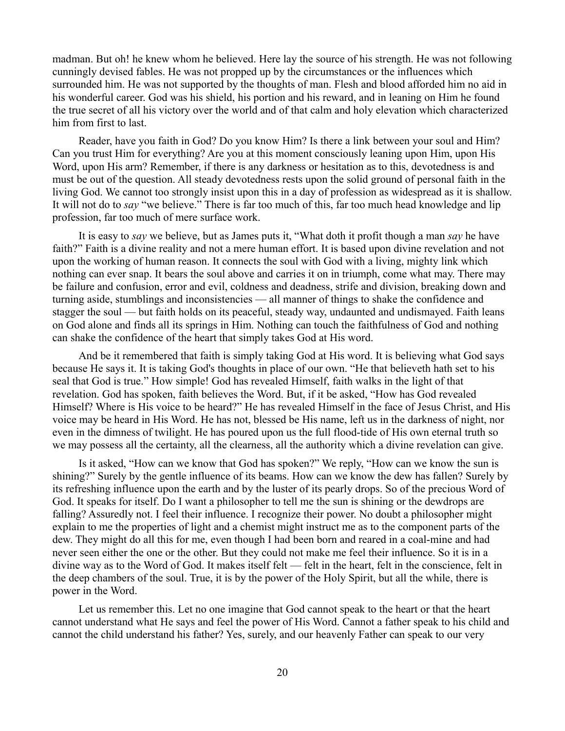madman. But oh! he knew whom he believed. Here lay the source of his strength. He was not following cunningly devised fables. He was not propped up by the circumstances or the influences which surrounded him. He was not supported by the thoughts of man. Flesh and blood afforded him no aid in his wonderful career. God was his shield, his portion and his reward, and in leaning on Him he found the true secret of all his victory over the world and of that calm and holy elevation which characterized him from first to last.

Reader, have you faith in God? Do you know Him? Is there a link between your soul and Him? Can you trust Him for everything? Are you at this moment consciously leaning upon Him, upon His Word, upon His arm? Remember, if there is any darkness or hesitation as to this, devotedness is and must be out of the question. All steady devotedness rests upon the solid ground of personal faith in the living God. We cannot too strongly insist upon this in a day of profession as widespread as it is shallow. It will not do to *say* "we believe." There is far too much of this, far too much head knowledge and lip profession, far too much of mere surface work.

It is easy to *say* we believe, but as James puts it, "What doth it profit though a man *say* he have faith?" Faith is a divine reality and not a mere human effort. It is based upon divine revelation and not upon the working of human reason. It connects the soul with God with a living, mighty link which nothing can ever snap. It bears the soul above and carries it on in triumph, come what may. There may be failure and confusion, error and evil, coldness and deadness, strife and division, breaking down and turning aside, stumblings and inconsistencies — all manner of things to shake the confidence and stagger the soul — but faith holds on its peaceful, steady way, undaunted and undismayed. Faith leans on God alone and finds all its springs in Him. Nothing can touch the faithfulness of God and nothing can shake the confidence of the heart that simply takes God at His word.

And be it remembered that faith is simply taking God at His word. It is believing what God says because He says it. It is taking God's thoughts in place of our own. "He that believeth hath set to his seal that God is true." How simple! God has revealed Himself, faith walks in the light of that revelation. God has spoken, faith believes the Word. But, if it be asked, "How has God revealed Himself? Where is His voice to be heard?" He has revealed Himself in the face of Jesus Christ, and His voice may be heard in His Word. He has not, blessed be His name, left us in the darkness of night, nor even in the dimness of twilight. He has poured upon us the full flood-tide of His own eternal truth so we may possess all the certainty, all the clearness, all the authority which a divine revelation can give.

Is it asked, "How can we know that God has spoken?" We reply, "How can we know the sun is shining?" Surely by the gentle influence of its beams. How can we know the dew has fallen? Surely by its refreshing influence upon the earth and by the luster of its pearly drops. So of the precious Word of God. It speaks for itself. Do I want a philosopher to tell me the sun is shining or the dewdrops are falling? Assuredly not. I feel their influence. I recognize their power. No doubt a philosopher might explain to me the properties of light and a chemist might instruct me as to the component parts of the dew. They might do all this for me, even though I had been born and reared in a coal-mine and had never seen either the one or the other. But they could not make me feel their influence. So it is in a divine way as to the Word of God. It makes itself felt — felt in the heart, felt in the conscience, felt in the deep chambers of the soul. True, it is by the power of the Holy Spirit, but all the while, there is power in the Word.

Let us remember this. Let no one imagine that God cannot speak to the heart or that the heart cannot understand what He says and feel the power of His Word. Cannot a father speak to his child and cannot the child understand his father? Yes, surely, and our heavenly Father can speak to our very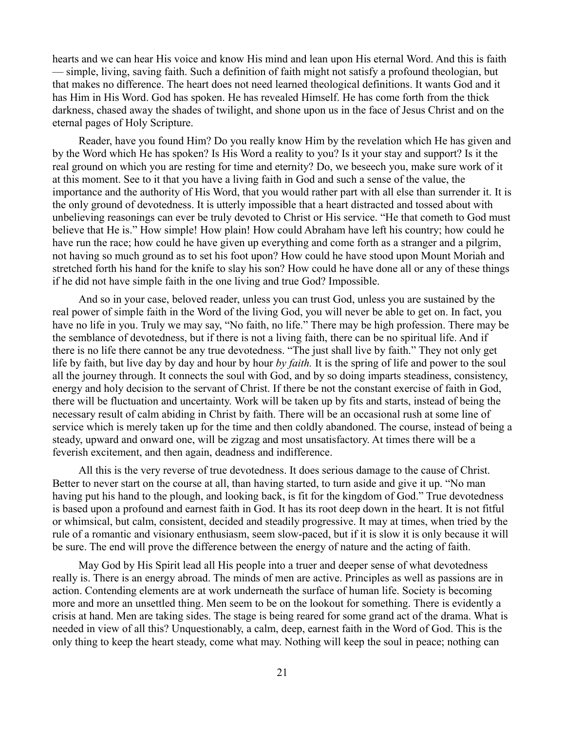hearts and we can hear His voice and know His mind and lean upon His eternal Word. And this is faith — simple, living, saving faith. Such a definition of faith might not satisfy a profound theologian, but that makes no difference. The heart does not need learned theological definitions. It wants God and it has Him in His Word. God has spoken. He has revealed Himself. He has come forth from the thick darkness, chased away the shades of twilight, and shone upon us in the face of Jesus Christ and on the eternal pages of Holy Scripture.

Reader, have you found Him? Do you really know Him by the revelation which He has given and by the Word which He has spoken? Is His Word a reality to you? Is it your stay and support? Is it the real ground on which you are resting for time and eternity? Do, we beseech you, make sure work of it at this moment. See to it that you have a living faith in God and such a sense of the value, the importance and the authority of His Word, that you would rather part with all else than surrender it. It is the only ground of devotedness. It is utterly impossible that a heart distracted and tossed about with unbelieving reasonings can ever be truly devoted to Christ or His service. "He that cometh to God must believe that He is." How simple! How plain! How could Abraham have left his country; how could he have run the race; how could he have given up everything and come forth as a stranger and a pilgrim, not having so much ground as to set his foot upon? How could he have stood upon Mount Moriah and stretched forth his hand for the knife to slay his son? How could he have done all or any of these things if he did not have simple faith in the one living and true God? Impossible.

And so in your case, beloved reader, unless you can trust God, unless you are sustained by the real power of simple faith in the Word of the living God, you will never be able to get on. In fact, you have no life in you. Truly we may say, "No faith, no life." There may be high profession. There may be the semblance of devotedness, but if there is not a living faith, there can be no spiritual life. And if there is no life there cannot be any true devotedness. "The just shall live by faith." They not only get life by faith, but live day by day and hour by hour *by faith.* It is the spring of life and power to the soul all the journey through. It connects the soul with God, and by so doing imparts steadiness, consistency, energy and holy decision to the servant of Christ. If there be not the constant exercise of faith in God, there will be fluctuation and uncertainty. Work will be taken up by fits and starts, instead of being the necessary result of calm abiding in Christ by faith. There will be an occasional rush at some line of service which is merely taken up for the time and then coldly abandoned. The course, instead of being a steady, upward and onward one, will be zigzag and most unsatisfactory. At times there will be a feverish excitement, and then again, deadness and indifference.

All this is the very reverse of true devotedness. It does serious damage to the cause of Christ. Better to never start on the course at all, than having started, to turn aside and give it up. "No man having put his hand to the plough, and looking back, is fit for the kingdom of God." True devotedness is based upon a profound and earnest faith in God. It has its root deep down in the heart. It is not fitful or whimsical, but calm, consistent, decided and steadily progressive. It may at times, when tried by the rule of a romantic and visionary enthusiasm, seem slow-paced, but if it is slow it is only because it will be sure. The end will prove the difference between the energy of nature and the acting of faith.

May God by His Spirit lead all His people into a truer and deeper sense of what devotedness really is. There is an energy abroad. The minds of men are active. Principles as well as passions are in action. Contending elements are at work underneath the surface of human life. Society is becoming more and more an unsettled thing. Men seem to be on the lookout for something. There is evidently a crisis at hand. Men are taking sides. The stage is being reared for some grand act of the drama. What is needed in view of all this? Unquestionably, a calm, deep, earnest faith in the Word of God. This is the only thing to keep the heart steady, come what may. Nothing will keep the soul in peace; nothing can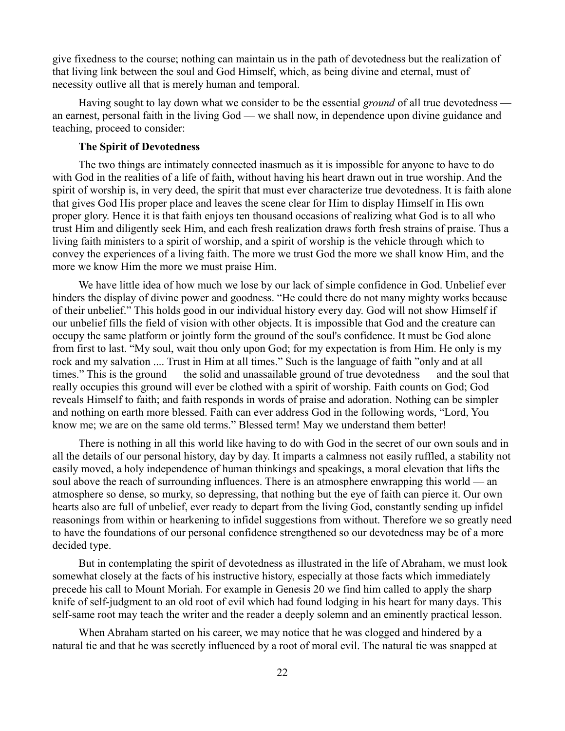give fixedness to the course; nothing can maintain us in the path of devotedness but the realization of that living link between the soul and God Himself, which, as being divine and eternal, must of necessity outlive all that is merely human and temporal.

Having sought to lay down what we consider to be the essential *ground* of all true devotedness an earnest, personal faith in the living God — we shall now, in dependence upon divine guidance and teaching, proceed to consider:

### **The Spirit of Devotedness**

The two things are intimately connected inasmuch as it is impossible for anyone to have to do with God in the realities of a life of faith, without having his heart drawn out in true worship. And the spirit of worship is, in very deed, the spirit that must ever characterize true devotedness. It is faith alone that gives God His proper place and leaves the scene clear for Him to display Himself in His own proper glory. Hence it is that faith enjoys ten thousand occasions of realizing what God is to all who trust Him and diligently seek Him, and each fresh realization draws forth fresh strains of praise. Thus a living faith ministers to a spirit of worship, and a spirit of worship is the vehicle through which to convey the experiences of a living faith. The more we trust God the more we shall know Him, and the more we know Him the more we must praise Him.

We have little idea of how much we lose by our lack of simple confidence in God. Unbelief ever hinders the display of divine power and goodness. "He could there do not many mighty works because of their unbelief." This holds good in our individual history every day. God will not show Himself if our unbelief fills the field of vision with other objects. It is impossible that God and the creature can occupy the same platform or jointly form the ground of the soul's confidence. It must be God alone from first to last. "My soul, wait thou only upon God; for my expectation is from Him. He only is my rock and my salvation .... Trust in Him at all times." Such is the language of faith "only and at all times." This is the ground — the solid and unassailable ground of true devotedness — and the soul that really occupies this ground will ever be clothed with a spirit of worship. Faith counts on God; God reveals Himself to faith; and faith responds in words of praise and adoration. Nothing can be simpler and nothing on earth more blessed. Faith can ever address God in the following words, "Lord, You know me; we are on the same old terms." Blessed term! May we understand them better!

There is nothing in all this world like having to do with God in the secret of our own souls and in all the details of our personal history, day by day. It imparts a calmness not easily ruffled, a stability not easily moved, a holy independence of human thinkings and speakings, a moral elevation that lifts the soul above the reach of surrounding influences. There is an atmosphere enwrapping this world — an atmosphere so dense, so murky, so depressing, that nothing but the eye of faith can pierce it. Our own hearts also are full of unbelief, ever ready to depart from the living God, constantly sending up infidel reasonings from within or hearkening to infidel suggestions from without. Therefore we so greatly need to have the foundations of our personal confidence strengthened so our devotedness may be of a more decided type.

But in contemplating the spirit of devotedness as illustrated in the life of Abraham, we must look somewhat closely at the facts of his instructive history, especially at those facts which immediately precede his call to Mount Moriah. For example in Genesis 20 we find him called to apply the sharp knife of self-judgment to an old root of evil which had found lodging in his heart for many days. This self-same root may teach the writer and the reader a deeply solemn and an eminently practical lesson.

When Abraham started on his career, we may notice that he was clogged and hindered by a natural tie and that he was secretly influenced by a root of moral evil. The natural tie was snapped at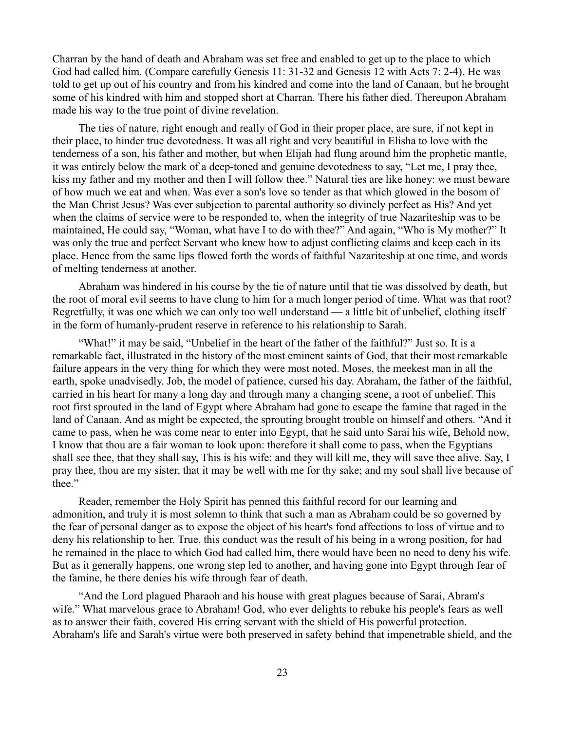Charran by the hand of death and Abraham was set free and enabled to get up to the place to which God had called him. (Compare carefully Genesis 11: 31-32 and Genesis 12 with Acts 7: 2-4). He was told to get up out of his country and from his kindred and come into the land of Canaan, but he brought some of his kindred with him and stopped short at Charran. There his father died. Thereupon Abraham made his way to the true point of divine revelation.

The ties of nature, right enough and really of God in their proper place, are sure, if not kept in their place, to hinder true devotedness. It was all right and very beautiful in Elisha to love with the tenderness of a son, his father and mother, but when Elijah had flung around him the prophetic mantle, it was entirely below the mark of a deep-toned and genuine devotedness to say, "Let me, I pray thee, kiss my father and my mother and then I will follow thee." Natural ties are like honey: we must beware of how much we eat and when. Was ever a son's love so tender as that which glowed in the bosom of the Man Christ Jesus? Was ever subjection to parental authority so divinely perfect as His? And yet when the claims of service were to be responded to, when the integrity of true Nazariteship was to be maintained, He could say, "Woman, what have I to do with thee?" And again, "Who is My mother?" It was only the true and perfect Servant who knew how to adjust conflicting claims and keep each in its place. Hence from the same lips flowed forth the words of faithful Nazariteship at one time, and words of melting tenderness at another.

Abraham was hindered in his course by the tie of nature until that tie was dissolved by death, but the root of moral evil seems to have clung to him for a much longer period of time. What was that root? Regretfully, it was one which we can only too well understand — a little bit of unbelief, clothing itself in the form of humanly-prudent reserve in reference to his relationship to Sarah.

"What!" it may be said, "Unbelief in the heart of the father of the faithful?" Just so. It is a remarkable fact, illustrated in the history of the most eminent saints of God, that their most remarkable failure appears in the very thing for which they were most noted. Moses, the meekest man in all the earth, spoke unadvisedly. Job, the model of patience, cursed his day. Abraham, the father of the faithful, carried in his heart for many a long day and through many a changing scene, a root of unbelief. This root first sprouted in the land of Egypt where Abraham had gone to escape the famine that raged in the land of Canaan. And as might be expected, the sprouting brought trouble on himself and others. "And it came to pass, when he was come near to enter into Egypt, that he said unto Sarai his wife, Behold now, I know that thou are a fair woman to look upon: therefore it shall come to pass, when the Egyptians shall see thee, that they shall say, This is his wife: and they will kill me, they will save thee alive. Say, I pray thee, thou are my sister, that it may be well with me for thy sake; and my soul shall live because of thee."

Reader, remember the Holy Spirit has penned this faithful record for our learning and admonition, and truly it is most solemn to think that such a man as Abraham could be so governed by the fear of personal danger as to expose the object of his heart's fond affections to loss of virtue and to deny his relationship to her. True, this conduct was the result of his being in a wrong position, for had he remained in the place to which God had called him, there would have been no need to deny his wife. But as it generally happens, one wrong step led to another, and having gone into Egypt through fear of the famine, he there denies his wife through fear of death.

"And the Lord plagued Pharaoh and his house with great plagues because of Sarai, Abram's wife." What marvelous grace to Abraham! God, who ever delights to rebuke his people's fears as well as to answer their faith, covered His erring servant with the shield of His powerful protection. Abraham's life and Sarah's virtue were both preserved in safety behind that impenetrable shield, and the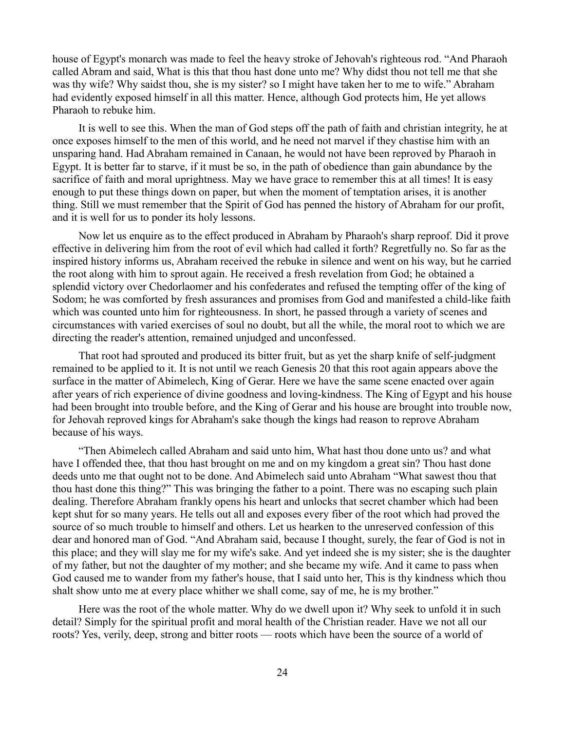house of Egypt's monarch was made to feel the heavy stroke of Jehovah's righteous rod. "And Pharaoh called Abram and said, What is this that thou hast done unto me? Why didst thou not tell me that she was thy wife? Why saidst thou, she is my sister? so I might have taken her to me to wife." Abraham had evidently exposed himself in all this matter. Hence, although God protects him, He yet allows Pharaoh to rebuke him.

It is well to see this. When the man of God steps off the path of faith and christian integrity, he at once exposes himself to the men of this world, and he need not marvel if they chastise him with an unsparing hand. Had Abraham remained in Canaan, he would not have been reproved by Pharaoh in Egypt. It is better far to starve, if it must be so, in the path of obedience than gain abundance by the sacrifice of faith and moral uprightness. May we have grace to remember this at all times! It is easy enough to put these things down on paper, but when the moment of temptation arises, it is another thing. Still we must remember that the Spirit of God has penned the history of Abraham for our profit, and it is well for us to ponder its holy lessons.

Now let us enquire as to the effect produced in Abraham by Pharaoh's sharp reproof. Did it prove effective in delivering him from the root of evil which had called it forth? Regretfully no. So far as the inspired history informs us, Abraham received the rebuke in silence and went on his way, but he carried the root along with him to sprout again. He received a fresh revelation from God; he obtained a splendid victory over Chedorlaomer and his confederates and refused the tempting offer of the king of Sodom; he was comforted by fresh assurances and promises from God and manifested a child-like faith which was counted unto him for righteousness. In short, he passed through a variety of scenes and circumstances with varied exercises of soul no doubt, but all the while, the moral root to which we are directing the reader's attention, remained unjudged and unconfessed.

That root had sprouted and produced its bitter fruit, but as yet the sharp knife of self-judgment remained to be applied to it. It is not until we reach Genesis 20 that this root again appears above the surface in the matter of Abimelech, King of Gerar. Here we have the same scene enacted over again after years of rich experience of divine goodness and loving-kindness. The King of Egypt and his house had been brought into trouble before, and the King of Gerar and his house are brought into trouble now, for Jehovah reproved kings for Abraham's sake though the kings had reason to reprove Abraham because of his ways.

"Then Abimelech called Abraham and said unto him, What hast thou done unto us? and what have I offended thee, that thou hast brought on me and on my kingdom a great sin? Thou hast done deeds unto me that ought not to be done. And Abimelech said unto Abraham "What sawest thou that thou hast done this thing?" This was bringing the father to a point. There was no escaping such plain dealing. Therefore Abraham frankly opens his heart and unlocks that secret chamber which had been kept shut for so many years. He tells out all and exposes every fiber of the root which had proved the source of so much trouble to himself and others. Let us hearken to the unreserved confession of this dear and honored man of God. "And Abraham said, because I thought, surely, the fear of God is not in this place; and they will slay me for my wife's sake. And yet indeed she is my sister; she is the daughter of my father, but not the daughter of my mother; and she became my wife. And it came to pass when God caused me to wander from my father's house, that I said unto her, This is thy kindness which thou shalt show unto me at every place whither we shall come, say of me, he is my brother."

Here was the root of the whole matter. Why do we dwell upon it? Why seek to unfold it in such detail? Simply for the spiritual profit and moral health of the Christian reader. Have we not all our roots? Yes, verily, deep, strong and bitter roots — roots which have been the source of a world of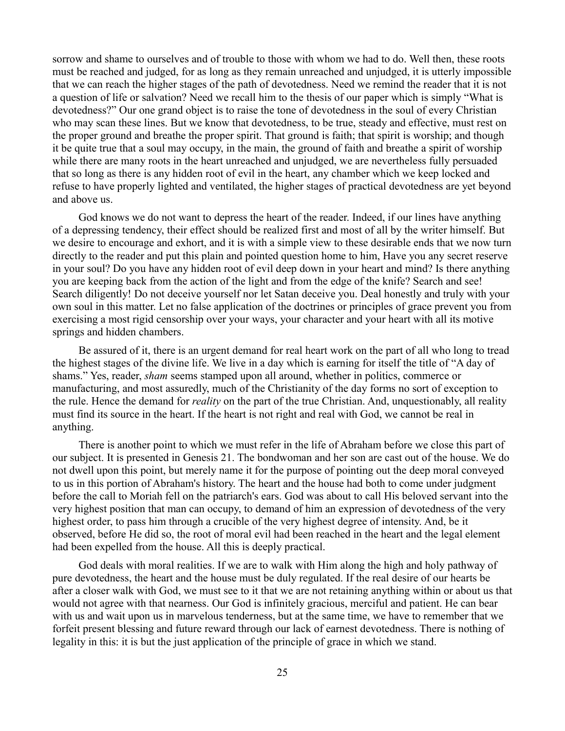sorrow and shame to ourselves and of trouble to those with whom we had to do. Well then, these roots must be reached and judged, for as long as they remain unreached and unjudged, it is utterly impossible that we can reach the higher stages of the path of devotedness. Need we remind the reader that it is not a question of life or salvation? Need we recall him to the thesis of our paper which is simply "What is devotedness?" Our one grand object is to raise the tone of devotedness in the soul of every Christian who may scan these lines. But we know that devotedness, to be true, steady and effective, must rest on the proper ground and breathe the proper spirit. That ground is faith; that spirit is worship; and though it be quite true that a soul may occupy, in the main, the ground of faith and breathe a spirit of worship while there are many roots in the heart unreached and unjudged, we are nevertheless fully persuaded that so long as there is any hidden root of evil in the heart, any chamber which we keep locked and refuse to have properly lighted and ventilated, the higher stages of practical devotedness are yet beyond and above us.

God knows we do not want to depress the heart of the reader. Indeed, if our lines have anything of a depressing tendency, their effect should be realized first and most of all by the writer himself. But we desire to encourage and exhort, and it is with a simple view to these desirable ends that we now turn directly to the reader and put this plain and pointed question home to him, Have you any secret reserve in your soul? Do you have any hidden root of evil deep down in your heart and mind? Is there anything you are keeping back from the action of the light and from the edge of the knife? Search and see! Search diligently! Do not deceive yourself nor let Satan deceive you. Deal honestly and truly with your own soul in this matter. Let no false application of the doctrines or principles of grace prevent you from exercising a most rigid censorship over your ways, your character and your heart with all its motive springs and hidden chambers.

Be assured of it, there is an urgent demand for real heart work on the part of all who long to tread the highest stages of the divine life. We live in a day which is earning for itself the title of "A day of shams." Yes, reader, *sham* seems stamped upon all around, whether in politics, commerce or manufacturing, and most assuredly, much of the Christianity of the day forms no sort of exception to the rule. Hence the demand for *reality* on the part of the true Christian. And, unquestionably, all reality must find its source in the heart. If the heart is not right and real with God, we cannot be real in anything.

There is another point to which we must refer in the life of Abraham before we close this part of our subject. It is presented in Genesis 21. The bondwoman and her son are cast out of the house. We do not dwell upon this point, but merely name it for the purpose of pointing out the deep moral conveyed to us in this portion of Abraham's history. The heart and the house had both to come under judgment before the call to Moriah fell on the patriarch's ears. God was about to call His beloved servant into the very highest position that man can occupy, to demand of him an expression of devotedness of the very highest order, to pass him through a crucible of the very highest degree of intensity. And, be it observed, before He did so, the root of moral evil had been reached in the heart and the legal element had been expelled from the house. All this is deeply practical.

God deals with moral realities. If we are to walk with Him along the high and holy pathway of pure devotedness, the heart and the house must be duly regulated. If the real desire of our hearts be after a closer walk with God, we must see to it that we are not retaining anything within or about us that would not agree with that nearness. Our God is infinitely gracious, merciful and patient. He can bear with us and wait upon us in marvelous tenderness, but at the same time, we have to remember that we forfeit present blessing and future reward through our lack of earnest devotedness. There is nothing of legality in this: it is but the just application of the principle of grace in which we stand.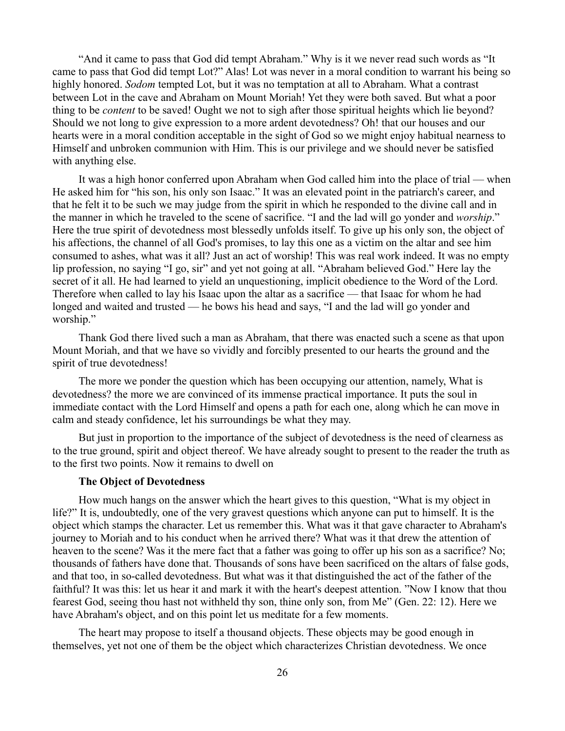"And it came to pass that God did tempt Abraham." Why is it we never read such words as "It came to pass that God did tempt Lot?" Alas! Lot was never in a moral condition to warrant his being so highly honored. *Sodom* tempted Lot, but it was no temptation at all to Abraham. What a contrast between Lot in the cave and Abraham on Mount Moriah! Yet they were both saved. But what a poor thing to be *content* to be saved! Ought we not to sigh after those spiritual heights which lie beyond? Should we not long to give expression to a more ardent devotedness? Oh! that our houses and our hearts were in a moral condition acceptable in the sight of God so we might enjoy habitual nearness to Himself and unbroken communion with Him. This is our privilege and we should never be satisfied with anything else.

It was a high honor conferred upon Abraham when God called him into the place of trial — when He asked him for "his son, his only son Isaac." It was an elevated point in the patriarch's career, and that he felt it to be such we may judge from the spirit in which he responded to the divine call and in the manner in which he traveled to the scene of sacrifice. "I and the lad will go yonder and *worship*." Here the true spirit of devotedness most blessedly unfolds itself. To give up his only son, the object of his affections, the channel of all God's promises, to lay this one as a victim on the altar and see him consumed to ashes, what was it all? Just an act of worship! This was real work indeed. It was no empty lip profession, no saying "I go, sir" and yet not going at all. "Abraham believed God." Here lay the secret of it all. He had learned to yield an unquestioning, implicit obedience to the Word of the Lord. Therefore when called to lay his Isaac upon the altar as a sacrifice — that Isaac for whom he had longed and waited and trusted — he bows his head and says, "I and the lad will go yonder and worship."

Thank God there lived such a man as Abraham, that there was enacted such a scene as that upon Mount Moriah, and that we have so vividly and forcibly presented to our hearts the ground and the spirit of true devotedness!

The more we ponder the question which has been occupying our attention, namely, What is devotedness? the more we are convinced of its immense practical importance. It puts the soul in immediate contact with the Lord Himself and opens a path for each one, along which he can move in calm and steady confidence, let his surroundings be what they may.

But just in proportion to the importance of the subject of devotedness is the need of clearness as to the true ground, spirit and object thereof. We have already sought to present to the reader the truth as to the first two points. Now it remains to dwell on

#### **The Object of Devotedness**

How much hangs on the answer which the heart gives to this question, "What is my object in life?" It is, undoubtedly, one of the very gravest questions which anyone can put to himself. It is the object which stamps the character. Let us remember this. What was it that gave character to Abraham's journey to Moriah and to his conduct when he arrived there? What was it that drew the attention of heaven to the scene? Was it the mere fact that a father was going to offer up his son as a sacrifice? No; thousands of fathers have done that. Thousands of sons have been sacrificed on the altars of false gods, and that too, in so-called devotedness. But what was it that distinguished the act of the father of the faithful? It was this: let us hear it and mark it with the heart's deepest attention. "Now I know that thou fearest God, seeing thou hast not withheld thy son, thine only son, from Me" (Gen. 22: 12). Here we have Abraham's object, and on this point let us meditate for a few moments.

The heart may propose to itself a thousand objects. These objects may be good enough in themselves, yet not one of them be the object which characterizes Christian devotedness. We once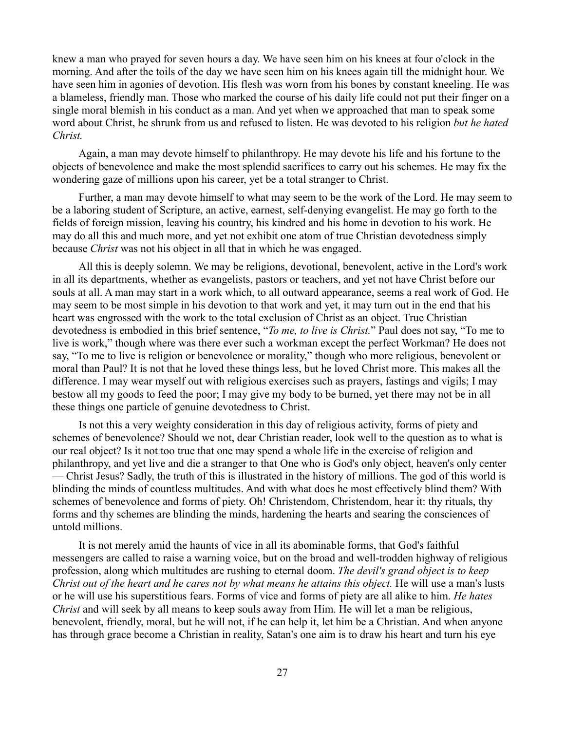knew a man who prayed for seven hours a day. We have seen him on his knees at four o'clock in the morning. And after the toils of the day we have seen him on his knees again till the midnight hour. We have seen him in agonies of devotion. His flesh was worn from his bones by constant kneeling. He was a blameless, friendly man. Those who marked the course of his daily life could not put their finger on a single moral blemish in his conduct as a man. And yet when we approached that man to speak some word about Christ, he shrunk from us and refused to listen. He was devoted to his religion *but he hated Christ.*

Again, a man may devote himself to philanthropy. He may devote his life and his fortune to the objects of benevolence and make the most splendid sacrifices to carry out his schemes. He may fix the wondering gaze of millions upon his career, yet be a total stranger to Christ.

Further, a man may devote himself to what may seem to be the work of the Lord. He may seem to be a laboring student of Scripture, an active, earnest, self-denying evangelist. He may go forth to the fields of foreign mission, leaving his country, his kindred and his home in devotion to his work. He may do all this and much more, and yet not exhibit one atom of true Christian devotedness simply because *Christ* was not his object in all that in which he was engaged.

All this is deeply solemn. We may be religions, devotional, benevolent, active in the Lord's work in all its departments, whether as evangelists, pastors or teachers, and yet not have Christ before our souls at all. A man may start in a work which, to all outward appearance, seems a real work of God. He may seem to be most simple in his devotion to that work and yet, it may turn out in the end that his heart was engrossed with the work to the total exclusion of Christ as an object. True Christian devotedness is embodied in this brief sentence, "*To me, to live is Christ.*" Paul does not say, "To me to live is work," though where was there ever such a workman except the perfect Workman? He does not say, "To me to live is religion or benevolence or morality," though who more religious, benevolent or moral than Paul? It is not that he loved these things less, but he loved Christ more. This makes all the difference. I may wear myself out with religious exercises such as prayers, fastings and vigils; I may bestow all my goods to feed the poor; I may give my body to be burned, yet there may not be in all these things one particle of genuine devotedness to Christ.

Is not this a very weighty consideration in this day of religious activity, forms of piety and schemes of benevolence? Should we not, dear Christian reader, look well to the question as to what is our real object? Is it not too true that one may spend a whole life in the exercise of religion and philanthropy, and yet live and die a stranger to that One who is God's only object, heaven's only center — Christ Jesus? Sadly, the truth of this is illustrated in the history of millions. The god of this world is blinding the minds of countless multitudes. And with what does he most effectively blind them? With schemes of benevolence and forms of piety. Oh! Christendom, Christendom, hear it: thy rituals, thy forms and thy schemes are blinding the minds, hardening the hearts and searing the consciences of untold millions.

It is not merely amid the haunts of vice in all its abominable forms, that God's faithful messengers are called to raise a warning voice, but on the broad and well-trodden highway of religious profession, along which multitudes are rushing to eternal doom. *The devil's grand object is to keep Christ out of the heart and he cares not by what means he attains this object.* He will use a man's lusts or he will use his superstitious fears. Forms of vice and forms of piety are all alike to him. *He hates Christ* and will seek by all means to keep souls away from Him. He will let a man be religious, benevolent, friendly, moral, but he will not, if he can help it, let him be a Christian. And when anyone has through grace become a Christian in reality, Satan's one aim is to draw his heart and turn his eye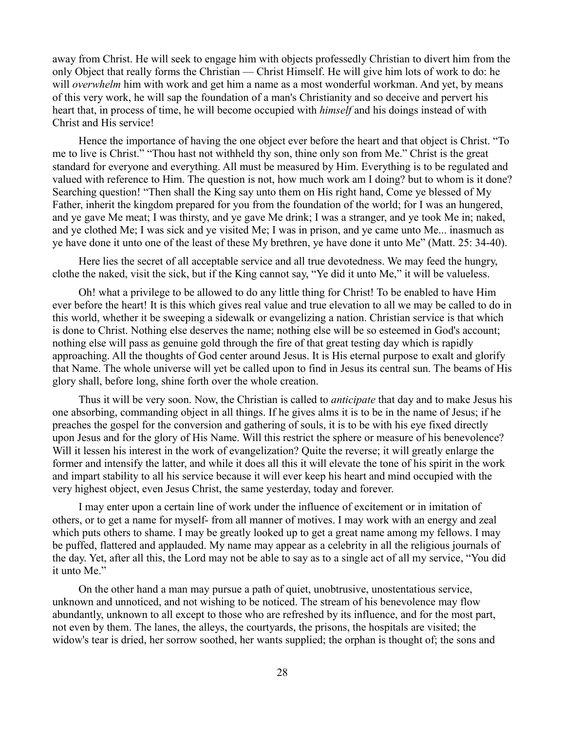away from Christ. He will seek to engage him with objects professedly Christian to divert him from the only Object that really forms the Christian — Christ Himself. He will give him lots of work to do: he will *overwhelm* him with work and get him a name as a most wonderful workman. And yet, by means of this very work, he will sap the foundation of a man's Christianity and so deceive and pervert his heart that, in process of time, he will become occupied with *himself* and his doings instead of with Christ and His service!

Hence the importance of having the one object ever before the heart and that object is Christ. "To me to live is Christ." "Thou hast not withheld thy son, thine only son from Me." Christ is the great standard for everyone and everything. All must be measured by Him. Everything is to be regulated and valued with reference to Him. The question is not, how much work am I doing? but to whom is it done? Searching question! "Then shall the King say unto them on His right hand, Come ye blessed of My Father, inherit the kingdom prepared for you from the foundation of the world; for I was an hungered, and ye gave Me meat; I was thirsty, and ye gave Me drink; I was a stranger, and ye took Me in; naked, and ye clothed Me; I was sick and ye visited Me; I was in prison, and ye came unto Me... inasmuch as ye have done it unto one of the least of these My brethren, ye have done it unto Me" (Matt. 25: 34-40).

Here lies the secret of all acceptable service and all true devotedness. We may feed the hungry, clothe the naked, visit the sick, but if the King cannot say, "Ye did it unto Me," it will be valueless.

Oh! what a privilege to be allowed to do any little thing for Christ! To be enabled to have Him ever before the heart! It is this which gives real value and true elevation to all we may be called to do in this world, whether it be sweeping a sidewalk or evangelizing a nation. Christian service is that which is done to Christ. Nothing else deserves the name; nothing else will be so esteemed in God's account; nothing else will pass as genuine gold through the fire of that great testing day which is rapidly approaching. All the thoughts of God center around Jesus. It is His eternal purpose to exalt and glorify that Name. The whole universe will yet be called upon to find in Jesus its central sun. The beams of His glory shall, before long, shine forth over the whole creation.

Thus it will be very soon. Now, the Christian is called to *anticipate* that day and to make Jesus his one absorbing, commanding object in all things. If he gives alms it is to be in the name of Jesus; if he preaches the gospel for the conversion and gathering of souls, it is to be with his eye fixed directly upon Jesus and for the glory of His Name. Will this restrict the sphere or measure of his benevolence? Will it lessen his interest in the work of evangelization? Quite the reverse; it will greatly enlarge the former and intensify the latter, and while it does all this it will elevate the tone of his spirit in the work and impart stability to all his service because it will ever keep his heart and mind occupied with the very highest object, even Jesus Christ, the same yesterday, today and forever.

I may enter upon a certain line of work under the influence of excitement or in imitation of others, or to get a name for myself- from all manner of motives. I may work with an energy and zeal which puts others to shame. I may be greatly looked up to get a great name among my fellows. I may be puffed, flattered and applauded. My name may appear as a celebrity in all the religious journals of the day. Yet, after all this, the Lord may not be able to say as to a single act of all my service, "You did it unto Me."

On the other hand a man may pursue a path of quiet, unobtrusive, unostentatious service, unknown and unnoticed, and not wishing to be noticed. The stream of his benevolence may flow abundantly, unknown to all except to those who are refreshed by its influence, and for the most part, not even by them. The lanes, the alleys, the courtyards, the prisons, the hospitals are visited; the widow's tear is dried, her sorrow soothed, her wants supplied; the orphan is thought of; the sons and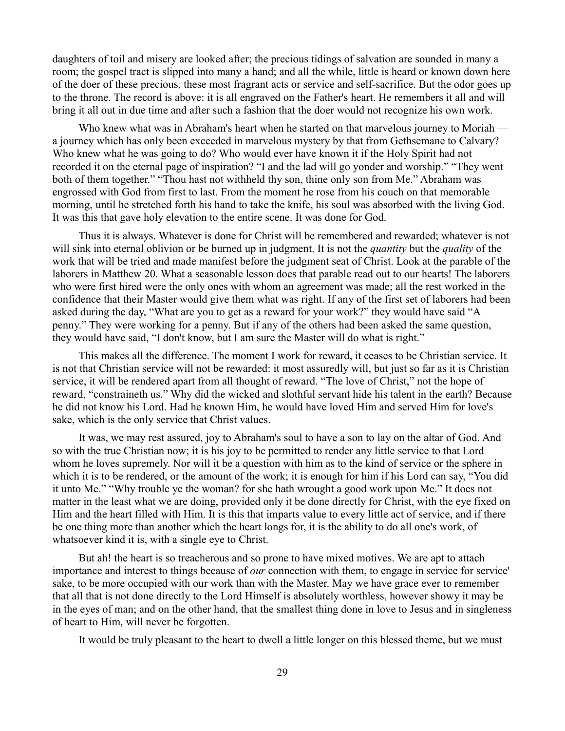daughters of toil and misery are looked after; the precious tidings of salvation are sounded in many a room; the gospel tract is slipped into many a hand; and all the while, little is heard or known down here of the doer of these precious, these most fragrant acts or service and self-sacrifice. But the odor goes up to the throne. The record is above: it is all engraved on the Father's heart. He remembers it all and will bring it all out in due time and after such a fashion that the doer would not recognize his own work.

Who knew what was in Abraham's heart when he started on that marvelous journey to Moriah a journey which has only been exceeded in marvelous mystery by that from Gethsemane to Calvary? Who knew what he was going to do? Who would ever have known it if the Holy Spirit had not recorded it on the eternal page of inspiration? "I and the lad will go yonder and worship." "They went both of them together." "Thou hast not withheld thy son, thine only son from Me." Abraham was engrossed with God from first to last. From the moment he rose from his couch on that memorable morning, until he stretched forth his hand to take the knife, his soul was absorbed with the living God. It was this that gave holy elevation to the entire scene. It was done for God.

Thus it is always. Whatever is done for Christ will be remembered and rewarded; whatever is not will sink into eternal oblivion or be burned up in judgment. It is not the *quantity* but the *quality* of the work that will be tried and made manifest before the judgment seat of Christ. Look at the parable of the laborers in Matthew 20. What a seasonable lesson does that parable read out to our hearts! The laborers who were first hired were the only ones with whom an agreement was made; all the rest worked in the confidence that their Master would give them what was right. If any of the first set of laborers had been asked during the day, "What are you to get as a reward for your work?" they would have said "A penny." They were working for a penny. But if any of the others had been asked the same question, they would have said, "I don't know, but I am sure the Master will do what is right."

This makes all the difference. The moment I work for reward, it ceases to be Christian service. It is not that Christian service will not be rewarded: it most assuredly will, but just so far as it is Christian service, it will be rendered apart from all thought of reward. "The love of Christ," not the hope of reward, "constraineth us." Why did the wicked and slothful servant hide his talent in the earth? Because he did not know his Lord. Had he known Him, he would have loved Him and served Him for love's sake, which is the only service that Christ values.

It was, we may rest assured, joy to Abraham's soul to have a son to lay on the altar of God. And so with the true Christian now; it is his joy to be permitted to render any little service to that Lord whom he loves supremely. Nor will it be a question with him as to the kind of service or the sphere in which it is to be rendered, or the amount of the work; it is enough for him if his Lord can say, "You did it unto Me." "Why trouble ye the woman? for she hath wrought a good work upon Me." It does not matter in the least what we are doing, provided only it be done directly for Christ, with the eye fixed on Him and the heart filled with Him. It is this that imparts value to every little act of service, and if there be one thing more than another which the heart longs for, it is the ability to do all one's work, of whatsoever kind it is, with a single eye to Christ.

But ah! the heart is so treacherous and so prone to have mixed motives. We are apt to attach importance and interest to things because of *our* connection with them, to engage in service for service' sake, to be more occupied with our work than with the Master. May we have grace ever to remember that all that is not done directly to the Lord Himself is absolutely worthless, however showy it may be in the eyes of man; and on the other hand, that the smallest thing done in love to Jesus and in singleness of heart to Him, will never be forgotten.

It would be truly pleasant to the heart to dwell a little longer on this blessed theme, but we must